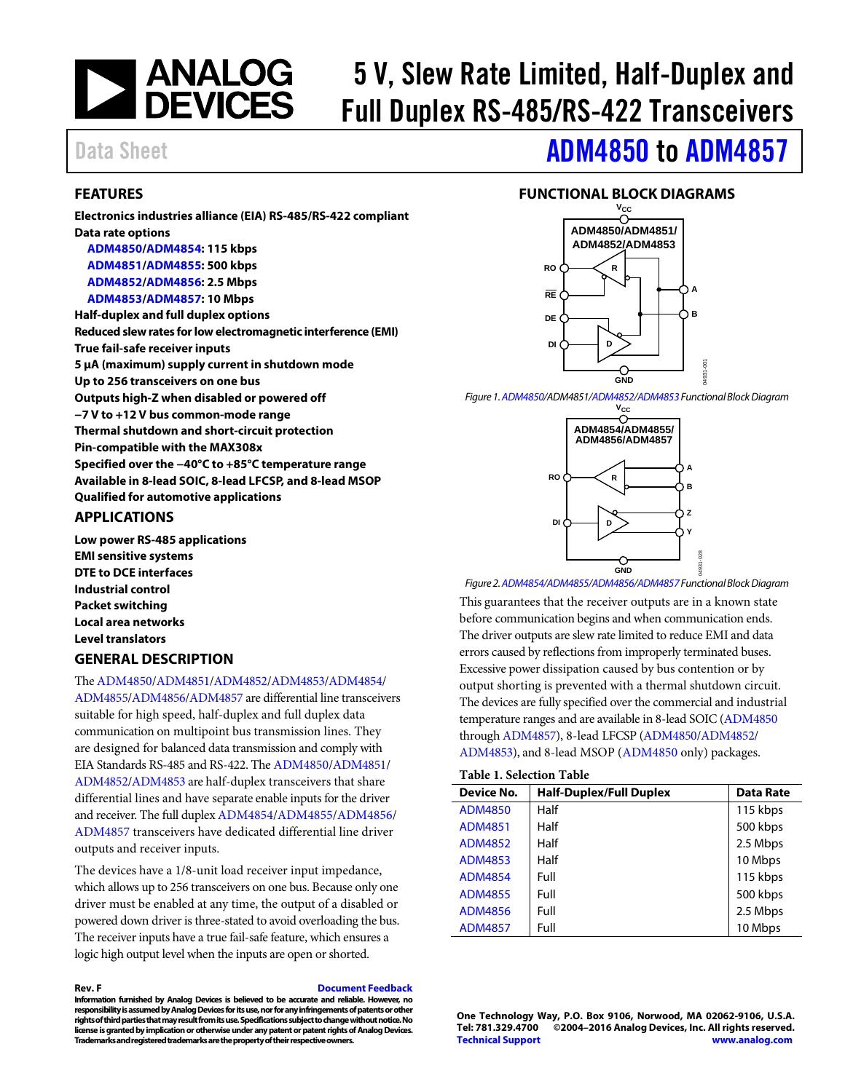

# 5 V, Slew Rate Limited, Half-Duplex and Full Duplex RS-485/RS-422 Transceivers

# Data Sheet **[ADM4850](http://www.analog.com/ADM4850?doc=ADM4850_4851_4852_4853_4854_4855_4856_4857.pdf) to [ADM4857](http://www.analog.com/ADM4857?doc=ADM4850_4851_4852_4853_4854_4855_4856_4857.pdf)**

### <span id="page-0-0"></span>**FEATURES**

**Electronics industries alliance (EIA) RS-485/RS-422 compliant Data rate options [ADM4850](http://www.analog.com/ADM4850?doc=ADM4850_4851_4852_4853_4854_4855_4856_4857.pdf)[/ADM4854:](http://www.analog.com/ADM4854?doc=ADM4850_4851_4852_4853_4854_4855_4856_4857.pdf) 115 kbps [ADM4851](http://www.analog.com/ADM4851?doc=ADM4850_4851_4852_4853_4854_4855_4856_4857.pdf)[/ADM4855:](http://www.analog.com/ADM4855?doc=ADM4850_4851_4852_4853_4854_4855_4856_4857.pdf) 500 kbps [ADM4852](http://www.analog.com/ADM4852?doc=ADM4850_4851_4852_4853_4854_4855_4856_4857.pdf)[/ADM4856:](http://www.analog.com/ADM4856?doc=ADM4850_4851_4852_4853_4854_4855_4856_4857.pdf) 2.5 Mbps [ADM4853](http://www.analog.com/ADM4853?doc=ADM4850_4851_4852_4853_4854_4855_4856_4857.pdf)[/ADM4857:](http://www.analog.com/ADM4857?doc=ADM4850_4851_4852_4853_4854_4855_4856_4857.pdf) 10 Mbps Half-duplex and full duplex options Reduced slew rates for low electromagnetic interference (EMI) True fail-safe receiver inputs 5 µA (maximum) supply current in shutdown mode Up to 256 transceivers on one bus Outputs high-Z when disabled or powered off −7 V to +12 V bus common-mode range Thermal shutdown and short-circuit protection Pin-compatible with the MAX308x Specified over the −40°C to +85°C temperature range Available in 8-lead SOIC, 8-lead LFCSP, and 8-lead MSOP Qualified for automotive applications**

### <span id="page-0-1"></span>**APPLICATIONS**

**Low power RS-485 applications EMI sensitive systems DTE to DCE interfaces Industrial control Packet switching Local area networks Level translators GENERAL DESCRIPTION**

### <span id="page-0-2"></span>Th[e ADM4850/](http://www.analog.com/ADM4850?doc=ADM4850_4851_4852_4853_4854_4855_4856_4857.pdf)[ADM4851](http://www.analog.com/ADM4851?doc=ADM4850_4851_4852_4853_4854_4855_4856_4857.pdf)[/ADM4852](http://www.analog.com/ADM4852?doc=ADM4850_4851_4852_4853_4854_4855_4856_4857.pdf)[/ADM4853/](http://www.analog.com/ADM4853?doc=ADM4850_4851_4852_4853_4854_4855_4856_4857.pdf)[ADM4854/](http://www.analog.com/ADM4854?doc=ADM4850_4851_4852_4853_4854_4855_4856_4857.pdf)

[ADM4855](http://www.analog.com/ADM4855?doc=ADM4850_4851_4852_4853_4854_4855_4856_4857.pdf)[/ADM4856/](http://www.analog.com/ADM4856?doc=ADM4850_4851_4852_4853_4854_4855_4856_4857.pdf)[ADM4857](http://www.analog.com/ADM4857?doc=ADM4850_4851_4852_4853_4854_4855_4856_4857.pdf) are differential line transceivers suitable for high speed, half-duplex and full duplex data communication on multipoint bus transmission lines. They are designed for balanced data transmission and comply with EIA Standards RS-485 and RS-422. Th[e ADM4850/](http://www.analog.com/ADM4850?doc=ADM4850_4851_4852_4853_4854_4855_4856_4857.pdf)[ADM4851/](http://www.analog.com/ADM4851?doc=ADM4850_4851_4852_4853_4854_4855_4856_4857.pdf) [ADM4852](http://www.analog.com/ADM4852?doc=ADM4850_4851_4852_4853_4854_4855_4856_4857.pdf)[/ADM4853](http://www.analog.com/ADM4853?doc=ADM4850_4851_4852_4853_4854_4855_4856_4857.pdf) are half-duplex transceivers that share differential lines and have separate enable inputs for the driver and receiver. The full duple[x ADM4854](http://www.analog.com/ADM4854?doc=ADM4850_4851_4852_4853_4854_4855_4856_4857.pdf)[/ADM4855/](http://www.analog.com/ADM4855?doc=ADM4850_4851_4852_4853_4854_4855_4856_4857.pdf)[ADM4856/](http://www.analog.com/ADM4856?doc=ADM4850_4851_4852_4853_4854_4855_4856_4857.pdf) [ADM4857](http://www.analog.com/ADM4857?doc=ADM4850_4851_4852_4853_4854_4855_4856_4857.pdf) transceivers have dedicated differential line driver outputs and receiver inputs.

The devices have a 1/8-unit load receiver input impedance, which allows up to 256 transceivers on one bus. Because only one driver must be enabled at any time, the output of a disabled or powered down driver is three-stated to avoid overloading the bus. The receiver inputs have a true fail-safe feature, which ensures a logic high output level when the inputs are open or shorted.

#### **Rev. F [Document Feedback](https://form.analog.com/Form_Pages/feedback/documentfeedback.aspx?doc=ADM4850_4851_4852_4853_4854_4855_4856_4857.pdf&product=ADM4850%20ADM4851%20ADM4852%20ADM4853%20ADM4854%20ADM4855%20ADM4856%20ADM4857&rev=E)**

**Information furnished by Analog Devices is believed to be accurate and reliable. However, no responsibility is assumed by Analog Devices for its use, nor for any infringements of patents or other rights of third parties that may result from its use. Specifications subject to change without notice. No license is granted by implication or otherwise under any patent or patent rights of Analog Devices. Trademarks and registered trademarks are the property of their respective owners.**

### <span id="page-0-3"></span>**FUNCTIONAL BLOCK DIAGRAMS**



*Figure 1[. ADM4850/](http://www.analog.com/ADM4850?doc=ADM4850_4851_4852_4853_4854_4855_4856_4857.pdf)ADM4851[/ADM4852/](http://www.analog.com/ADM4852?doc=ADM4850_4851_4852_4853_4854_4855_4856_4857.pdf)[ADM4853F](http://www.analog.com/ADM4853?doc=ADM4850_4851_4852_4853_4854_4855_4856_4857.pdf)unctional Block Diagram*



*Figure 2[. ADM4854](http://www.analog.com/ADM4854?doc=ADM4850_4851_4852_4853_4854_4855_4856_4857.pdf)[/ADM4855](http://www.analog.com/ADM4855?doc=ADM4850_4851_4852_4853_4854_4855_4856_4857.pdf)[/ADM4856/](http://www.analog.com/ADM4856?doc=ADM4850_4851_4852_4853_4854_4855_4856_4857.pdf)[ADM4857F](http://www.analog.com/ADM4857?doc=ADM4850_4851_4852_4853_4854_4855_4856_4857.pdf)unctional Block Diagram*

This guarantees that the receiver outputs are in a known state before communication begins and when communication ends. The driver outputs are slew rate limited to reduce EMI and data errors caused by reflections from improperly terminated buses. Excessive power dissipation caused by bus contention or by output shorting is prevented with a thermal shutdown circuit. The devices are fully specified over the commercial and industrial temperature ranges and are available in 8-lead SOIC [\(ADM4850](http://www.analog.com/ADM4850?doc=ADM4850_4851_4852_4853_4854_4855_4856_4857.pdf) throug[h ADM4857\)](http://www.analog.com/ADM4857?doc=ADM4850_4851_4852_4853_4854_4855_4856_4857.pdf), 8-lead LFCSP [\(ADM4850](http://www.analog.com/ADM4850?doc=ADM4850_4851_4852_4853_4854_4855_4856_4857.pdf)[/ADM4852/](http://www.analog.com/ADM4852?doc=ADM4850_4851_4852_4853_4854_4855_4856_4857.pdf) [ADM4853\)](http://www.analog.com/ADM4853?doc=ADM4850_4851_4852_4853_4854_4855_4856_4857.pdf), and 8-lead MSOP [\(ADM4850](http://www.analog.com/ADM4850?doc=ADM4850_4851_4852_4853_4854_4855_4856_4857.pdf) only) packages. Figure 1. ADM4850/[ADM4857](http://www.analog.com/ADM4857?doc=ADM4850_4851_4852_4853_4854_4855_4856_4857.pdf)/ADM4852<br>
Figure 1. ADM4850/ADM4857/ADM4852/ADM48552<br>
ADM6854/ADM48554/DM48557<br>
ADM6856/ADM48537<br>
ADM6856/ADM4857<br>
ADM6856/ADM4857<br>
This guarantees that the receiver outputs are in a known state<br>

#### **Table 1. Selection Table**

| Device No.     | <b>Half-Duplex/Full Duplex</b> | Data Rate |
|----------------|--------------------------------|-----------|
| <b>ADM4850</b> | Half                           | 115 kbps  |
| <b>ADM4851</b> | Half                           | 500 kbps  |
| <b>ADM4852</b> | Half                           | 2.5 Mbps  |
| <b>ADM4853</b> | Half                           | 10 Mbps   |
| <b>ADM4854</b> | Full                           | 115 kbps  |
| <b>ADM4855</b> | Full                           | 500 kbps  |
| <b>ADM4856</b> | Full                           | 2.5 Mbps  |
| <b>ADM4857</b> | Full                           | 10 Mbps   |

**One Technology Way, P.O. Box 9106, Norwood, MA 02062-9106, U.S.A. Tel: 781.329.4700 ©2004–2016 Analog Devices, Inc. All rights reserved. [Technical Support](http://www.analog.com/en/content/technical_support_page/fca.html) [www.analog.com](http://www.analog.com/)**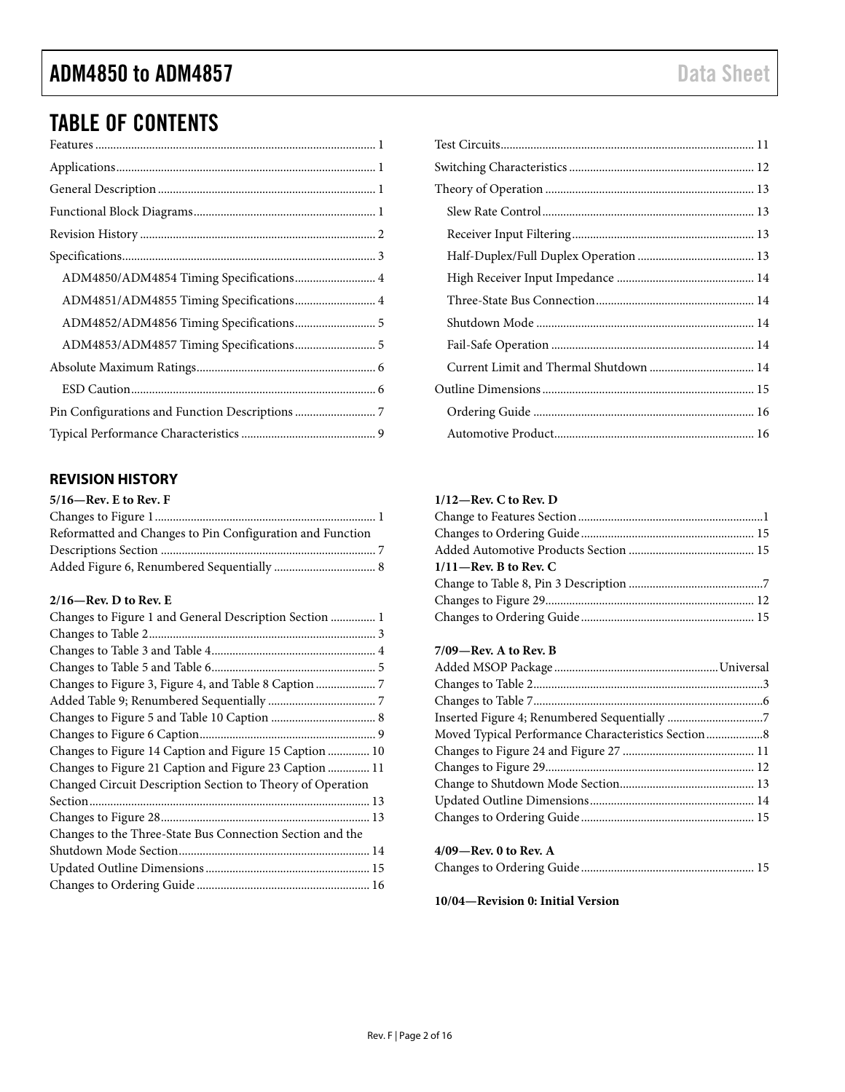# ADM4850 to ADM4857 **Data Sheet** Data Sheet

# TABLE OF CONTENTS

| ADM4850/ADM4854 Timing Specifications 4 |
|-----------------------------------------|
| ADM4851/ADM4855 Timing Specifications 4 |
|                                         |
| ADM4853/ADM4857 Timing Specifications 5 |
|                                         |
|                                         |
|                                         |
|                                         |

# <span id="page-1-0"></span>**REVISION HISTORY**

# **5/16—Rev. E to Rev. F**

| Reformatted and Changes to Pin Configuration and Function |
|-----------------------------------------------------------|
|                                                           |
|                                                           |

### **2/16—Rev. D to Rev. E**

| Changes to Figure 1 and General Description Section  1     |
|------------------------------------------------------------|
|                                                            |
|                                                            |
|                                                            |
|                                                            |
|                                                            |
|                                                            |
|                                                            |
| Changes to Figure 14 Caption and Figure 15 Caption  10     |
| Changes to Figure 21 Caption and Figure 23 Caption  11     |
| Changed Circuit Description Section to Theory of Operation |
|                                                            |
|                                                            |
| Changes to the Three-State Bus Connection Section and the  |
|                                                            |
|                                                            |
|                                                            |
|                                                            |

### **1/12—Rev. C to Rev. D**

| $1/11$ –Rev. B to Rev. C |  |
|--------------------------|--|
|                          |  |
|                          |  |
|                          |  |
|                          |  |

### **7/09—Rev. A to Rev. B**

| Moved Typical Performance Characteristics Section8 |  |
|----------------------------------------------------|--|
|                                                    |  |
|                                                    |  |
|                                                    |  |
|                                                    |  |
|                                                    |  |
|                                                    |  |
| $4/09$ —Rev. 0 to Rev. A                           |  |

# Changes to Ordering Guide .......................................................... 15

**10/04—Revision 0: Initial Version**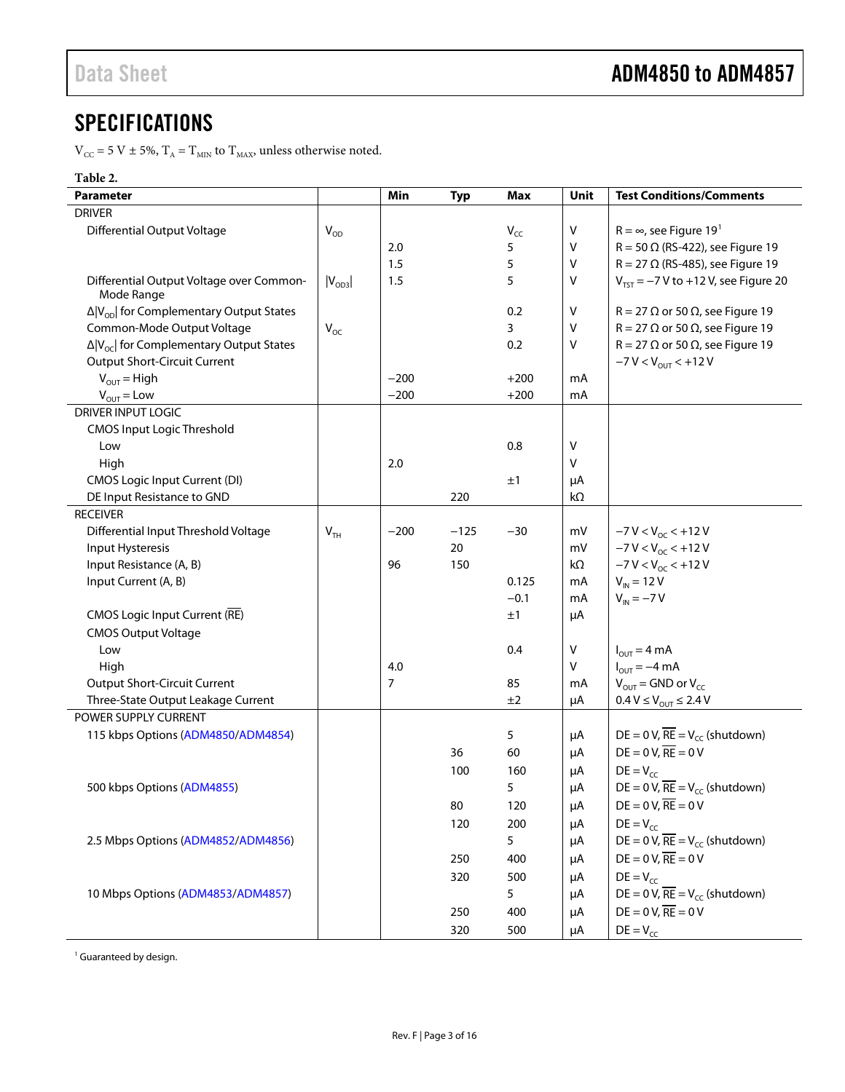# <span id="page-2-0"></span>**SPECIFICATIONS**

 $\rm V_{\rm CC}$  = 5 V  $\pm$  5%,  $\rm T_A$  =  $\rm T_{\rm MIN}$  to  $\rm T_{\rm MAX}$  unless otherwise noted.

# **Table 2.**

| Parameter                                                   |             | Min    | <b>Typ</b> | Max      | Unit    | <b>Test Conditions/Comments</b>                        |
|-------------------------------------------------------------|-------------|--------|------------|----------|---------|--------------------------------------------------------|
| <b>DRIVER</b>                                               |             |        |            |          |         |                                                        |
| <b>Differential Output Voltage</b>                          | $V_{OD}$    |        |            | $V_{CC}$ | V       | $R = \infty$ , see Figure 19 <sup>1</sup>              |
|                                                             |             | 2.0    |            | 5        | ٧       | $R = 50 \Omega$ (RS-422), see Figure 19                |
|                                                             |             | 1.5    |            | 5        | ٧       | $R = 27 \Omega$ (RS-485), see Figure 19                |
| Differential Output Voltage over Common-<br>Mode Range      | $ V_{OD3} $ | 1.5    |            | 5        | V       | $V_{TST}$ = -7 V to +12 V, see Figure 20               |
| $\Delta$  V <sub>op</sub>   for Complementary Output States |             |        |            | 0.2      | V       | $R = 27 \Omega$ or 50 $\Omega$ , see Figure 19         |
| Common-Mode Output Voltage                                  | $V_{OC}$    |        |            | 3        | ٧       | $R = 27 \Omega$ or 50 $\Omega$ , see Figure 19         |
| $\Delta$  V <sub>oc</sub>   for Complementary Output States |             |        |            | 0.2      | V       | $R = 27 \Omega$ or 50 $\Omega$ , see Figure 19         |
| <b>Output Short-Circuit Current</b>                         |             |        |            |          |         | $-7 V < V_{OUT} < +12 V$                               |
| $V_{OUT}$ = High                                            |             | $-200$ |            | $+200$   | mA      |                                                        |
| $V_{OUT} = Low$                                             |             | $-200$ |            | $+200$   | mA      |                                                        |
| DRIVER INPUT LOGIC                                          |             |        |            |          |         |                                                        |
| <b>CMOS Input Logic Threshold</b>                           |             |        |            |          |         |                                                        |
| Low                                                         |             |        |            | 0.8      | ٧       |                                                        |
| High                                                        |             | 2.0    |            |          | V       |                                                        |
| CMOS Logic Input Current (DI)                               |             |        |            | ±1       | μA      |                                                        |
| DE Input Resistance to GND                                  |             |        | 220        |          | kΩ      |                                                        |
| <b>RECEIVER</b>                                             |             |        |            |          |         |                                                        |
| Differential Input Threshold Voltage                        | $V_{TH}$    | $-200$ | $-125$     | $-30$    | mV      | $-7 V < V_{oc} < +12 V$                                |
| Input Hysteresis                                            |             |        | 20         |          | mV      | $-7 V < V_{OC} < +12 V$                                |
| Input Resistance (A, B)                                     |             | 96     | 150        |          | kΩ      | $-7 V < V_{OC} < +12 V$                                |
| Input Current (A, B)                                        |             |        |            | 0.125    | mA      | $V_{IN}$ = 12 V                                        |
|                                                             |             |        |            | $-0.1$   | mA      | $V_{IN} = -7 V$                                        |
| <b>CMOS Logic Input Current (RE)</b>                        |             |        |            | ±1       | μA      |                                                        |
| <b>CMOS Output Voltage</b>                                  |             |        |            |          |         |                                                        |
| Low                                                         |             |        |            | 0.4      | $\sf V$ | $I_{OUT} = 4 mA$                                       |
| High                                                        |             | 4.0    |            |          | V       | $I_{\text{OUT}} = -4 \text{ mA}$                       |
| <b>Output Short-Circuit Current</b>                         |             | 7      |            | 85       | mA      | $V_{\text{OUT}}$ = GND or $V_{\text{CC}}$              |
| Three-State Output Leakage Current                          |             |        |            | ±2       | μA      | $0.4 V \le V_{\text{OUT}} \le 2.4 V$                   |
| POWER SUPPLY CURRENT                                        |             |        |            |          |         |                                                        |
| 115 kbps Options (ADM4850/ADM4854)                          |             |        |            | 5        | μA      | DE = 0 V, $\overline{RE}$ = V <sub>cc</sub> (shutdown) |
|                                                             |             |        | 36         | 60       | μA      | $DE = 0 V$ , $RE = 0 V$                                |
|                                                             |             |        | 100        | 160      | μA      | $DE = V_{CC}$                                          |
| 500 kbps Options (ADM4855)                                  |             |        |            | 5        | μA      | DE = 0 V, $\overline{RE}$ = V <sub>cc</sub> (shutdown) |
|                                                             |             |        | 80         | 120      | μA      | $DE = 0 V$ , $RE = 0 V$                                |
|                                                             |             |        | 120        | 200      | μA      | $DE = V_{CC}$                                          |
| 2.5 Mbps Options (ADM4852/ADM4856)                          |             |        |            | 5        | μA      | DE = 0 V, $\overline{RE}$ = V <sub>cc</sub> (shutdown) |
|                                                             |             |        | 250        | 400      | μA      | $DE = 0 V$ , $RE = 0 V$                                |
|                                                             |             |        | 320        | 500      | μA      | $DE = V_{cc}$                                          |
| 10 Mbps Options (ADM4853/ADM4857)                           |             |        |            | 5        | μA      | DE = 0 V, $\overline{RE}$ = V <sub>cc</sub> (shutdown) |
|                                                             |             |        | 250        | 400      | μA      | $DE = 0 V$ , $RE = 0 V$                                |
|                                                             |             |        | 320        | 500      | μA      | $DE = V_{CC}$                                          |

<sup>1</sup> Guaranteed by design.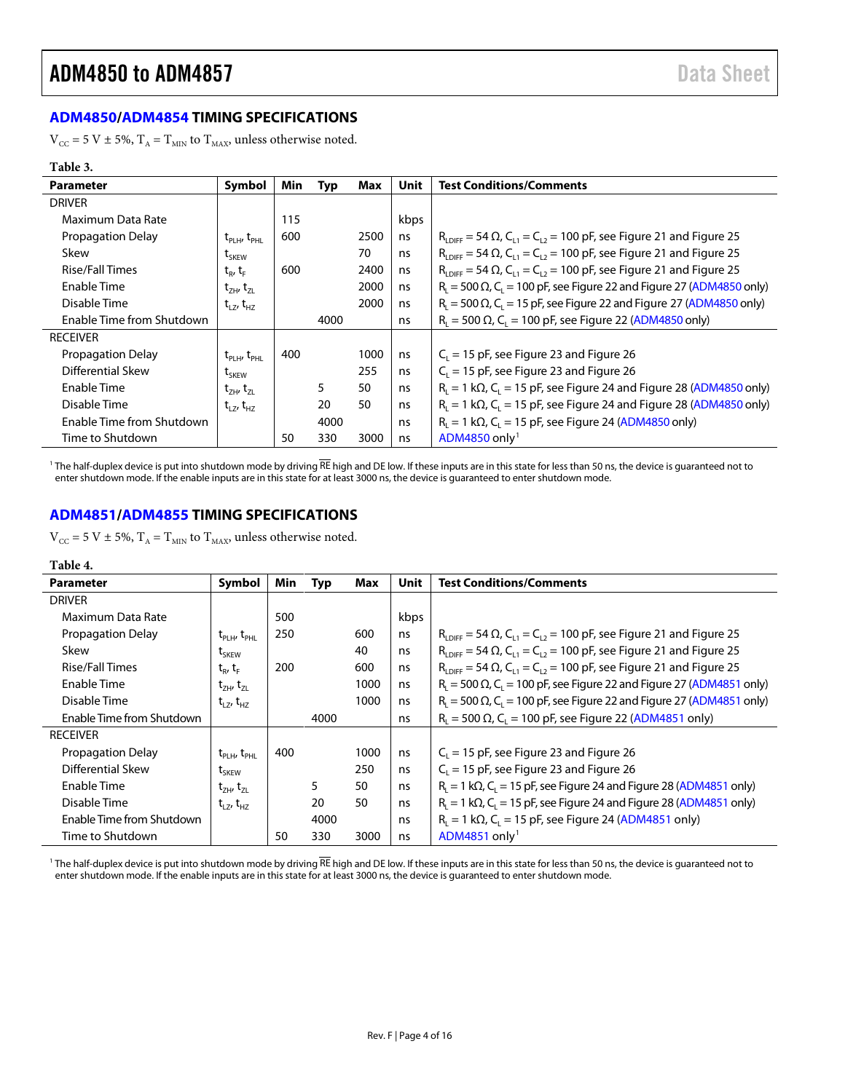# <span id="page-3-0"></span>**[ADM4850](http://www.analog.com/ADM4850?doc=ADM4850_4851_4852_4853_4854_4855_4856_4857.pdf)[/ADM4854](http://www.analog.com/ADM4854?doc=ADM4850_4851_4852_4853_4854_4855_4856_4857.pdf) TIMING SPECIFICATIONS**

 $V_{\text{CC}}$  = 5 V ± 5%,  $T_A$  =  $T_{\text{MIN}}$  to  $T_{\text{MAX}}$ , unless otherwise noted.

#### **Table 3.**

| <b>Parameter</b>          | Symbol                              | Min | <b>Typ</b> | Max  | Unit | <b>Test Conditions/Comments</b>                                                                   |
|---------------------------|-------------------------------------|-----|------------|------|------|---------------------------------------------------------------------------------------------------|
| <b>DRIVER</b>             |                                     |     |            |      |      |                                                                                                   |
| Maximum Data Rate         |                                     | 115 |            |      | kbps |                                                                                                   |
| <b>Propagation Delay</b>  | $t_{\text{PLH}}$ , $t_{\text{PHL}}$ | 600 |            | 2500 | ns   | $R_{\text{LDEF}} = 54 \Omega$ , $C_{11} = C_{12} = 100$ pF, see Figure 21 and Figure 25           |
| Skew                      | $t_{SKEW}$                          |     |            | 70   | ns   | $R_{\text{inter}} = 54 \Omega$ , $C_{11} = C_{12} = 100 \text{ pF}$ , see Figure 21 and Figure 25 |
| <b>Rise/Fall Times</b>    | $t_{\rm R}$ , $t_{\rm F}$           | 600 |            | 2400 | ns   | $R_{\text{LDEF}} = 54 \Omega$ , $C_{11} = C_{12} = 100 \text{ pF}$ , see Figure 21 and Figure 25  |
| Enable Time               | $t_{ZH}$ , $t_{ZL}$                 |     |            | 2000 | ns   | $R_i = 500 \Omega$ , C <sub>i</sub> = 100 pF, see Figure 22 and Figure 27 (ADM4850 only)          |
| Disable Time              | $t_{17}$ , $t_{H7}$                 |     |            | 2000 | ns   | $R_1 = 500 \Omega$ , C <sub>1</sub> = 15 pF, see Figure 22 and Figure 27 (ADM4850 only)           |
| Enable Time from Shutdown |                                     |     | 4000       |      | ns   | $R_1 = 500 \Omega$ , C <sub>1</sub> = 100 pF, see Figure 22 (ADM4850 only)                        |
| <b>RECEIVER</b>           |                                     |     |            |      |      |                                                                                                   |
| <b>Propagation Delay</b>  | $t_{\text{PI H}}$ , $t_{\text{PH}}$ | 400 |            | 1000 | ns   | $C_1 = 15$ pF, see Figure 23 and Figure 26                                                        |
| <b>Differential Skew</b>  | L <sub>SKEW</sub>                   |     |            | 255  | ns   | $C_1 = 15$ pF, see Figure 23 and Figure 26                                                        |
| Enable Time               | $t_{ZH}$ , $t_{ZL}$                 |     | 5          | 50   | ns   | $R_1 = 1 k\Omega$ , C <sub>1</sub> = 15 pF, see Figure 24 and Figure 28 (ADM4850 only)            |
| Disable Time              | $t_{17}$ , $t_{H7}$                 |     | 20         | 50   | ns   | $R_1 = 1$ k $\Omega$ , $C_1 = 15$ pF, see Figure 24 and Figure 28 (ADM4850 only)                  |
| Enable Time from Shutdown |                                     |     | 4000       |      | ns   | $R_1 = 1 k\Omega$ , C <sub>1</sub> = 15 pF, see Figure 24 (ADM4850 only)                          |
| Time to Shutdown          |                                     | 50  | 330        | 3000 | ns   | ADM4850 only <sup>1</sup>                                                                         |

<sup>1</sup> The half-duplex device is put into shutdown mode by driving  $\overline{\text{RE}}$  high and DE low. If these inputs are in this state for less than 50 ns, the device is guaranteed not to enter shutdown mode. If the enable inputs are in this state for at least 3000 ns, the device is guaranteed to enter shutdown mode.

### <span id="page-3-1"></span>**[ADM4851](http://www.analog.com/ADM4851?doc=ADM4850_4851_4852_4853_4854_4855_4856_4857.pdf)[/ADM4855](http://www.analog.com/ADM4855?doc=ADM4850_4851_4852_4853_4854_4855_4856_4857.pdf) TIMING SPECIFICATIONS**

 $\rm V_{\rm CC}$  = 5 V  $\pm$  5%,  $\rm T_A$  =  $\rm T_{\rm MIN}$  to  $\rm T_{\rm MAX}$  unless otherwise noted.

#### **Table 4.**

| Parameter                 | Symbol                                          | Min | Typ  | Max  | <b>Unit</b> | <b>Test Conditions/Comments</b>                                                                         |
|---------------------------|-------------------------------------------------|-----|------|------|-------------|---------------------------------------------------------------------------------------------------------|
| <b>DRIVER</b>             |                                                 |     |      |      |             |                                                                                                         |
| Maximum Data Rate         |                                                 | 500 |      |      | kbps        |                                                                                                         |
| <b>Propagation Delay</b>  | $t_{\text{PLH}}$ , $t_{\text{PHL}}$             | 250 |      | 600  | ns          | $R_{\text{LDEF}} = 54 \Omega$ , C <sub>11</sub> = C <sub>12</sub> = 100 pF, see Figure 21 and Figure 25 |
| Skew                      | $t_{SKFW}$                                      |     |      | 40   | ns          | $R_{i,pref} = 54 \Omega$ , $C_{i,q} = C_{i,q} = 100$ pF, see Figure 21 and Figure 25                    |
| <b>Rise/Fall Times</b>    | $t_{R}$ , $t_{F}$                               | 200 |      | 600  | ns          | $R_{\text{LDEF}} = 54 \Omega$ , $C_{11} = C_{12} = 100 \text{ pF}$ , see Figure 21 and Figure 25        |
| Enable Time               | $t_{7H}$ , $t_{7H}$                             |     |      | 1000 | ns          | $R_i = 500 \Omega$ , C <sub>i</sub> = 100 pF, see Figure 22 and Figure 27 (ADM4851 only)                |
| Disable Time              | $t_{17}$ , $t_{H7}$                             |     |      | 1000 | ns          | $R_1 = 500 \Omega$ , C <sub>1</sub> = 100 pF, see Figure 22 and Figure 27 (ADM4851 only)                |
| Enable Time from Shutdown |                                                 |     | 4000 |      | ns          | $R_i = 500 \Omega$ , C <sub>i</sub> = 100 pF, see Figure 22 (ADM4851 only)                              |
| <b>RECEIVER</b>           |                                                 |     |      |      |             |                                                                                                         |
| <b>Propagation Delay</b>  | $t_{\text{\tiny{PHV}}}$ $t_{\text{\tiny{PHU}}}$ | 400 |      | 1000 | ns          | $C_1 = 15$ pF, see Figure 23 and Figure 26                                                              |
| Differential Skew         | $t_{SKFW}$                                      |     |      | 250  | ns          | $C_1 = 15$ pF, see Figure 23 and Figure 26                                                              |
| Enable Time               | $t_{7H}$ , $t_{7H}$                             |     | 5    | 50   | ns          | $R_1 = 1 k\Omega$ , C <sub>1</sub> = 15 pF, see Figure 24 and Figure 28 (ADM4851 only)                  |
| Disable Time              | $t_{17}$ , $t_{H2}$                             |     | 20   | 50   | ns          | $RL = 1 k\Omega$ , C <sub>L</sub> = 15 pF, see Figure 24 and Figure 28 (ADM4851 only)                   |
| Enable Time from Shutdown |                                                 |     | 4000 |      | ns          | $R_1 = 1 k\Omega$ , C <sub>1</sub> = 15 pF, see Figure 24 (ADM4851 only)                                |
| Time to Shutdown          |                                                 | 50  | 330  | 3000 | ns          | ADM4851 only <sup>1</sup>                                                                               |

<sup>1</sup> The half-duplex device is put into shutdown mode by driving RE high and DE low. If these inputs are in this state for less than 50 ns, the device is guaranteed not to enter shutdown mode. If the enable inputs are in this state for at least 3000 ns, the device is guaranteed to enter shutdown mode.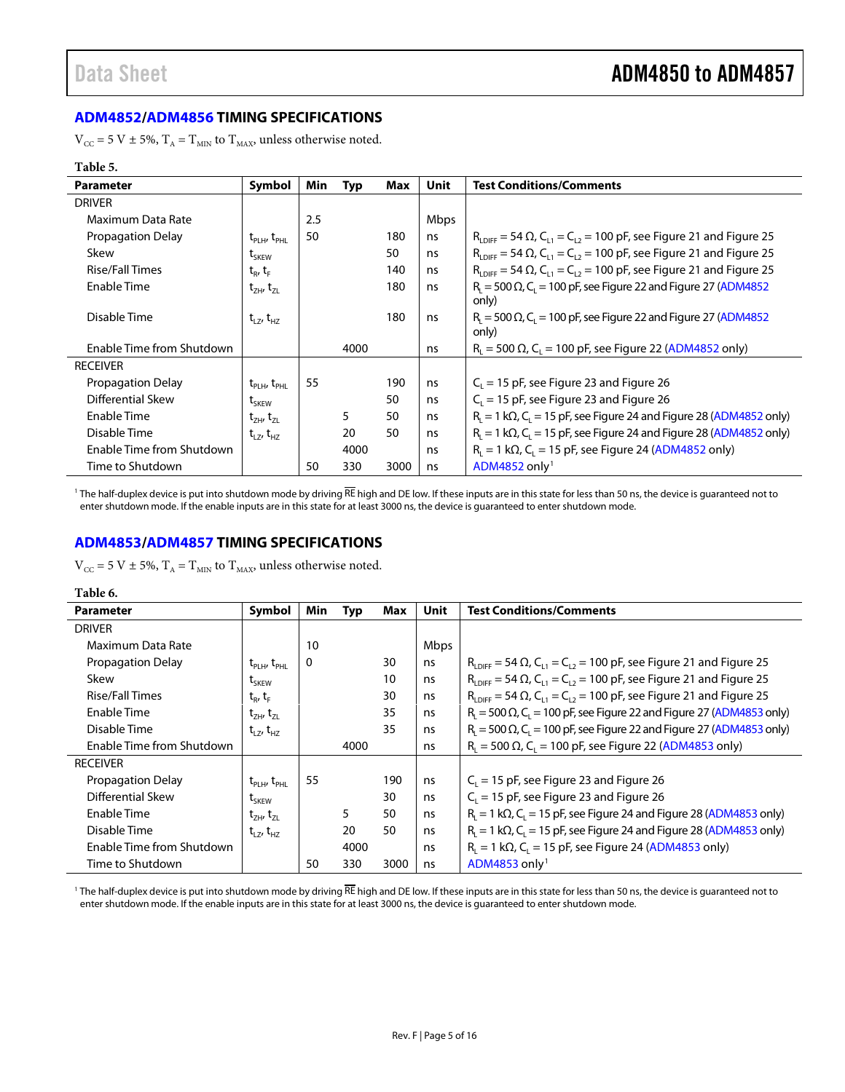# <span id="page-4-0"></span>**[ADM4852](http://www.analog.com/ADM4852?doc=ADM4850_4851_4852_4853_4854_4855_4856_4857.pdf)[/ADM4856](http://www.analog.com/ADM4856?doc=ADM4850_4851_4852_4853_4854_4855_4856_4857.pdf) TIMING SPECIFICATIONS**

 $V_{CC}$  = 5 V ± 5%,  $T_A$  =  $T_{MIN}$  to  $T_{MAX}$ , unless otherwise noted.

#### **Table 5.**

| <b>Parameter</b>          | <b>Symbol</b>                                      | Min | Typ  | Max  | Unit | <b>Test Conditions/Comments</b>                                                                   |
|---------------------------|----------------------------------------------------|-----|------|------|------|---------------------------------------------------------------------------------------------------|
| <b>DRIVER</b>             |                                                    |     |      |      |      |                                                                                                   |
| Maximum Data Rate         |                                                    | 2.5 |      |      | Mbps |                                                                                                   |
| <b>Propagation Delay</b>  | $t_{\text{PLH}}$ , $t_{\text{PHL}}$                | 50  |      | 180  | ns   | $R_{\text{LDEF}} = 54 \Omega$ , $C_{11} = C_{12} = 100 \text{ pF}$ , see Figure 21 and Figure 25  |
| Skew                      | t <sub>SKEW</sub>                                  |     |      | 50   | ns   | $R_{\text{inter}} = 54 \Omega$ , $C_{12} = C_{12} = 100 \text{ pF}$ , see Figure 21 and Figure 25 |
| <b>Rise/Fall Times</b>    | $t_R$ , $t_F$                                      |     |      | 140  | ns   | $R_{\text{LOIEF}} = 54 \Omega$ , $C_{11} = C_{12} = 100 \text{ pF}$ , see Figure 21 and Figure 25 |
| Enable Time               | $t_{ZH}$ , $t_{ZL}$                                |     |      | 180  | ns   | $R_i = 500 \Omega$ , C <sub>1</sub> = 100 pF, see Figure 22 and Figure 27 (ADM4852)<br>only)      |
| Disable Time              | $t_{LZ}$ , $t_{HZ}$                                |     |      | 180  | ns   | $R_i = 500 \Omega$ , C <sub>i</sub> = 100 pF, see Figure 22 and Figure 27 (ADM4852)<br>only)      |
| Enable Time from Shutdown |                                                    |     | 4000 |      | ns   | $R_1 = 500 \Omega$ , C <sub>1</sub> = 100 pF, see Figure 22 (ADM4852 only)                        |
| <b>RECEIVER</b>           |                                                    |     |      |      |      |                                                                                                   |
| <b>Propagation Delay</b>  | $t_{\text{\tiny{PI H}}}$ , $t_{\text{\tiny{PHI}}}$ | 55  |      | 190  | ns   | $C_1 = 15$ pF, see Figure 23 and Figure 26                                                        |
| Differential Skew         | $\tau_{SKFW}$                                      |     |      | 50   | ns   | $C_1 = 15$ pF, see Figure 23 and Figure 26                                                        |
| Enable Time               | $t_{ZH}$ , $t_{ZL}$                                |     | 5    | 50   | ns   | $R_i = 1 k\Omega$ , C <sub>i</sub> = 15 pF, see Figure 24 and Figure 28 (ADM4852 only)            |
| Disable Time              | $t_{17}$ , $t_{H7}$                                |     | 20   | 50   | ns   | $R_1 = 1 k\Omega$ , C <sub>1</sub> = 15 pF, see Figure 24 and Figure 28 (ADM4852 only)            |
| Enable Time from Shutdown |                                                    |     | 4000 |      | ns   | $R_1 = 1 k\Omega$ , C <sub>1</sub> = 15 pF, see Figure 24 (ADM4852 only)                          |
| Time to Shutdown          |                                                    | 50  | 330  | 3000 | ns   | $ADM4852$ only <sup>1</sup>                                                                       |

<sup>1</sup> The half-duplex device is put into shutdown mode by driving  $\overline{RE}$  high and DE low. If these inputs are in this state for less than 50 ns, the device is guaranteed not to enter shutdown mode. If the enable inputs are in this state for at least 3000 ns, the device is guaranteed to enter shutdown mode.

### <span id="page-4-1"></span>**[ADM4853](http://www.analog.com/ADM4853?doc=ADM4850_4851_4852_4853_4854_4855_4856_4857.pdf)[/ADM4857](http://www.analog.com/ADM4857?doc=ADM4850_4851_4852_4853_4854_4855_4856_4857.pdf) TIMING SPECIFICATIONS**

 $\rm V_{\rm CC}$  = 5 V  $\pm$  5%,  $\rm T_A$  =  $\rm T_{\rm MIN}$  to  $\rm T_{\rm MAX}$  unless otherwise noted.

| Table 6.                  |                                                                                           |          |      |      |             |                                                                                           |
|---------------------------|-------------------------------------------------------------------------------------------|----------|------|------|-------------|-------------------------------------------------------------------------------------------|
| Parameter                 | Symbol                                                                                    | Min      | Typ  | Max  | <b>Unit</b> | <b>Test Conditions/Comments</b>                                                           |
| <b>DRIVER</b>             |                                                                                           |          |      |      |             |                                                                                           |
| Maximum Data Rate         |                                                                                           | 10       |      |      | Mbps        |                                                                                           |
| Propagation Delay         | $t_{\text{PI H}}$ , $t_{\text{PH}}$                                                       | $\Omega$ |      | 30   | ns          | $R_{LDIFF} = 54 \Omega$ , $C_{L1} = C_{L2} = 100$ pF, see Figure 21 and Figure 25         |
| Skew                      | $\tau_{SKFW}$                                                                             |          |      | 10   | ns          | $R_{LDIF}$ = 54 $\Omega$ , $C_{11}$ = $C_{12}$ = 100 pF, see Figure 21 and Figure 25      |
| <b>Rise/Fall Times</b>    | $\mathsf{t}_{\scriptscriptstyle\mathsf{R}}$ , $\mathsf{t}_{\scriptscriptstyle\mathsf{F}}$ |          |      | 30   | ns          | $R_{LDIFF} = 54 \Omega$ , $C_{L1} = C_{L2} = 100$ pF, see Figure 21 and Figure 25         |
| Enable Time               | $t_{ZH}$ , $t_{ZL}$                                                                       |          |      | 35   | ns          | $RL = 500 \Omega$ , C <sub>L</sub> = 100 pF, see Figure 22 and Figure 27 (ADM4853 only)   |
| Disable Time              | $t_{LZ}$ , $t_{HZ}$                                                                       |          |      | 35   | ns          | $RL = 500 \Omega$ , C <sub>L</sub> = 100 pF, see Figure 22 and Figure 27 (ADM4853 only)   |
| Enable Time from Shutdown |                                                                                           |          | 4000 |      | ns          | $R_i = 500 \Omega$ , C <sub>1</sub> = 100 pF, see Figure 22 (ADM4853 only)                |
| <b>RECEIVER</b>           |                                                                                           |          |      |      |             |                                                                                           |
| Propagation Delay         | $t_{\scriptscriptstyle\rm Pl\,HI}$ , $t_{\scriptscriptstyle\rm PHI}$                      | 55       |      | 190  | ns          | $C_i = 15$ pF, see Figure 23 and Figure 26                                                |
| <b>Differential Skew</b>  | $\boldsymbol{{\mathsf{t}}}_{\mathsf{SKFW}}$                                               |          |      | 30   | ns          | $C_1 = 15$ pF, see Figure 23 and Figure 26                                                |
| Enable Time               | $t_{7H}$ , $t_{7H}$                                                                       |          | 5    | 50   | ns          | $R_1 = 1$ k $\Omega$ , C <sub>1</sub> = 15 pF, see Figure 24 and Figure 28 (ADM4853 only) |
| Disable Time              | $t_{17}$ , $t_{H7}$                                                                       |          | 20   | 50   | ns          | $R_L = 1 k\Omega$ , C <sub>L</sub> = 15 pF, see Figure 24 and Figure 28 (ADM4853 only)    |
| Enable Time from Shutdown |                                                                                           |          | 4000 |      | ns          | $R_1 = 1 k\Omega$ , C <sub>1</sub> = 15 pF, see Figure 24 (ADM4853 only)                  |
| Time to Shutdown          |                                                                                           | 50       | 330  | 3000 | ns          | ADM4853 only <sup>1</sup>                                                                 |

<sup>1</sup> The half-duplex device is put into shutdown mode by driving RE high and DE low. If these inputs are in this state for less than 50 ns, the device is guaranteed not to enter shutdown mode. If the enable inputs are in this state for at least 3000 ns, the device is guaranteed to enter shutdown mode.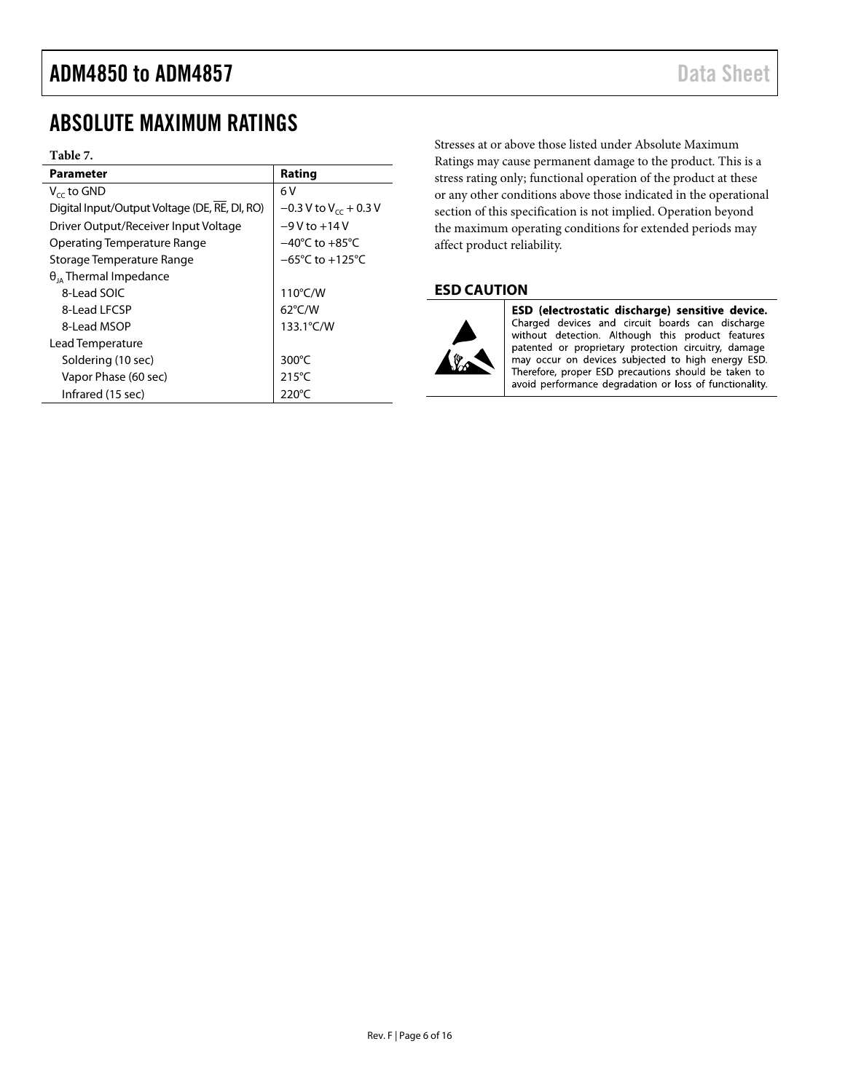# <span id="page-5-0"></span>ABSOLUTE MAXIMUM RATINGS

#### **Table 7.**

| <b>Parameter</b>                              | Rating                              |  |
|-----------------------------------------------|-------------------------------------|--|
| $V_{cc}$ to GND                               | 6 V                                 |  |
| Digital Input/Output Voltage (DE, RE, DI, RO) | $-0.3$ V to V <sub>cc</sub> + 0.3 V |  |
| Driver Output/Receiver Input Voltage          | $-9V$ to $+14V$                     |  |
| Operating Temperature Range                   | $-40^{\circ}$ C to $+85^{\circ}$ C  |  |
| Storage Temperature Range                     | $-65^{\circ}$ C to $+125^{\circ}$ C |  |
| $\theta_{14}$ Thermal Impedance               |                                     |  |
| 8-Lead SOIC                                   | 110°C/W                             |  |
| 8-Lead LFCSP                                  | $62^{\circ}$ C/W                    |  |
| 8-Lead MSOP                                   | 133.1°C/W                           |  |
| Lead Temperature                              |                                     |  |
| Soldering (10 sec)                            | 300°C                               |  |
| Vapor Phase (60 sec)                          | 215°C                               |  |
| Infrared (15 sec)                             | 220°C                               |  |

Stresses at or above those listed under Absolute Maximum Ratings may cause permanent damage to the product. This is a stress rating only; functional operation of the product at these or any other conditions above those indicated in the operational section of this specification is not implied. Operation beyond the maximum operating conditions for extended periods may affect product reliability.

### <span id="page-5-1"></span>**ESD CAUTION**



ESD (electrostatic discharge) sensitive device. Charged devices and circuit boards can discharge without detection. Although this product features patented or proprietary protection circuitry, damage may occur on devices subjected to high energy ESD. Therefore, proper ESD precautions should be taken to avoid performance degradation or loss of functionality.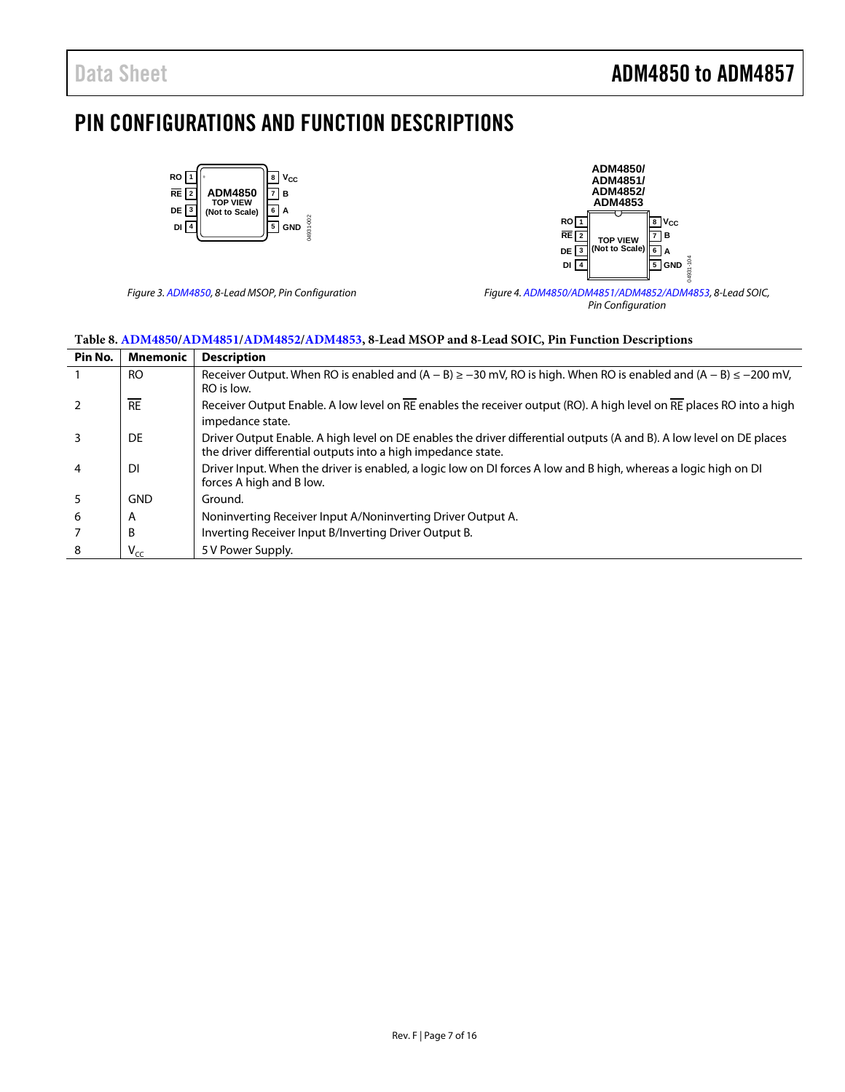# <span id="page-6-0"></span>PIN CONFIGURATIONS AND FUNCTION DESCRIPTIONS





*Figure 3[. ADM4850,](http://www.analog.com/ADM4850?doc=ADM4850_4851_4852_4853_4854_4855_4856_4857.pdf) 8-Lead MSOP, Pin Configuration Figure 4[. ADM4850/](http://www.analog.com/ADM4850?doc=ADM4850_4851_4852_4853_4854_4855_4856_4857.pdf)[ADM4851](http://www.analog.com/ADM4851?doc=ADM4850_4851_4852_4853_4854_4855_4856_4857.pdf)[/ADM4852](http://www.analog.com/ADM4852?doc=ADM4850_4851_4852_4853_4854_4855_4856_4857.pdf)[/ADM4853,](http://www.analog.com/ADM4853?doc=ADM4850_4851_4852_4853_4854_4855_4856_4857.pdf) 8-Lead SOIC, Pin Configuration*

| Table 6. ADIN+630/ADIN+631/ADIN+632/ADIN+633, 6-Leau MSOF and 6-Leau SOTC, F111 Function Descriptions |                 |                                                                                                                                                                                      |  |  |
|-------------------------------------------------------------------------------------------------------|-----------------|--------------------------------------------------------------------------------------------------------------------------------------------------------------------------------------|--|--|
| Pin No.                                                                                               | <b>Mnemonic</b> | <b>Description</b>                                                                                                                                                                   |  |  |
|                                                                                                       | RO.             | Receiver Output. When RO is enabled and $(A - B) \ge -30$ mV, RO is high. When RO is enabled and $(A - B) \le -200$ mV,<br>RO is low.                                                |  |  |
|                                                                                                       | <b>RE</b>       | Receiver Output Enable. A low level on RE enables the receiver output (RO). A high level on RE places RO into a high<br>impedance state.                                             |  |  |
|                                                                                                       | DE              | Driver Output Enable. A high level on DE enables the driver differential outputs (A and B). A low level on DE places<br>the driver differential outputs into a high impedance state. |  |  |
|                                                                                                       | DI              | Driver Input. When the driver is enabled, a logic low on DI forces A low and B high, whereas a logic high on DI<br>forces A high and B low.                                          |  |  |
|                                                                                                       | <b>GND</b>      | Ground.                                                                                                                                                                              |  |  |
| 6                                                                                                     | A               | Noninverting Receiver Input A/Noninverting Driver Output A.                                                                                                                          |  |  |
|                                                                                                       | B               | Inverting Receiver Input B/Inverting Driver Output B.                                                                                                                                |  |  |
| 8                                                                                                     | $V_{cc}$        | 5 V Power Supply.                                                                                                                                                                    |  |  |

**Table 8[. ADM4850/](http://www.analog.com/ADM4850?doc=ADM4850_4851_4852_4853_4854_4855_4856_4857.pdf)[ADM4851/](http://www.analog.com/ADM4851?doc=ADM4850_4851_4852_4853_4854_4855_4856_4857.pdf)[ADM4852/](http://www.analog.com/ADM4852?doc=ADM4850_4851_4852_4853_4854_4855_4856_4857.pdf)[ADM4853,](http://www.analog.com/ADM4853?doc=ADM4850_4851_4852_4853_4854_4855_4856_4857.pdf) 8-Lead MSOP and 8-Lead SOIC, Pin Function Descriptions**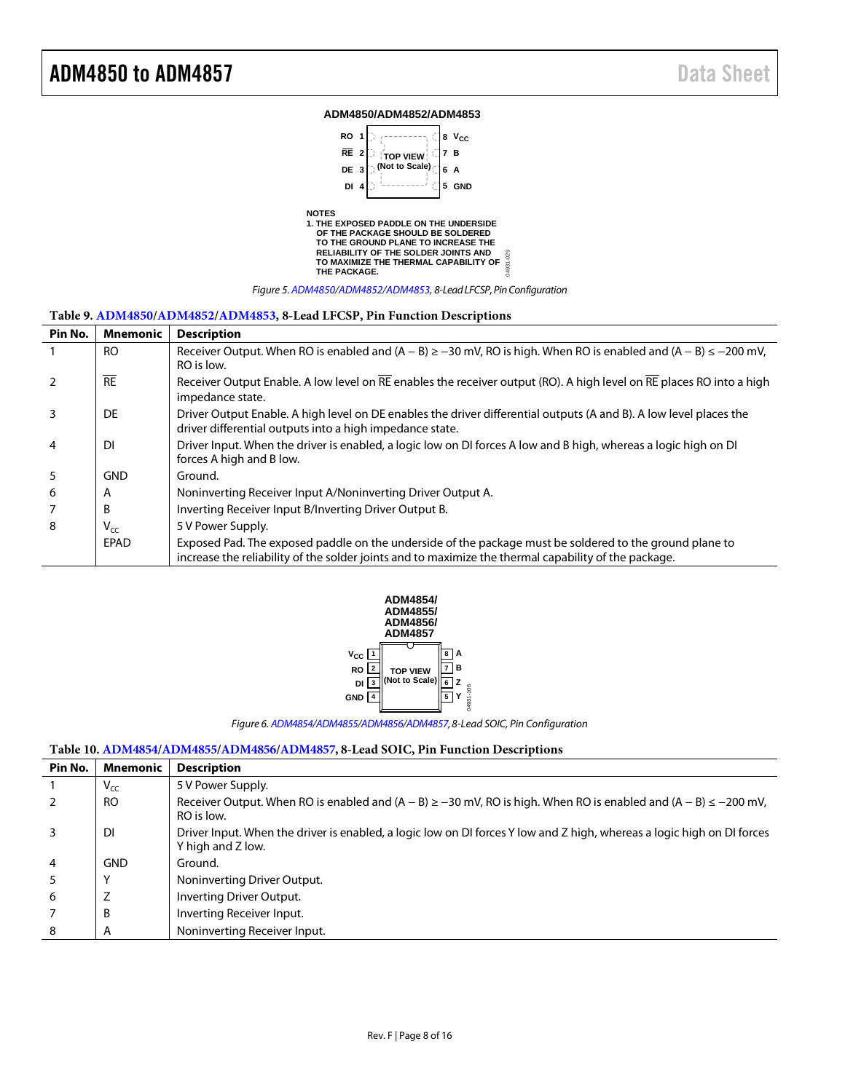#### **ADM4850/ADM4852/ADM4853**



#### **Table 9[. ADM4850/](http://www.analog.com/ADM4850?doc=ADM4850_4851_4852_4853_4854_4855_4856_4857.pdf)[ADM4852/](http://www.analog.com/ADM4852?doc=ADM4850_4851_4852_4853_4854_4855_4856_4857.pdf)[ADM4853,](http://www.analog.com/ADM4853?doc=ADM4850_4851_4852_4853_4854_4855_4856_4857.pdf) 8-Lead LFCSP, Pin Function Descriptions**

| Pin No.        | Mnemonic        | <b>Description</b>                                                                                                      |
|----------------|-----------------|-------------------------------------------------------------------------------------------------------------------------|
|                | RO.             | Receiver Output. When RO is enabled and $(A - B) \ge -30$ mV, RO is high. When RO is enabled and $(A - B) \le -200$ mV, |
|                |                 | RO is low.                                                                                                              |
| <sup>2</sup>   | $\overline{RE}$ | Receiver Output Enable. A low level on RE enables the receiver output (RO). A high level on RE places RO into a high    |
|                |                 | impedance state.                                                                                                        |
| $\overline{3}$ | DE              | Driver Output Enable. A high level on DE enables the driver differential outputs (A and B). A low level places the      |
|                |                 | driver differential outputs into a high impedance state.                                                                |
| $\overline{4}$ | <b>DI</b>       | Driver Input. When the driver is enabled, a logic low on DI forces A low and B high, whereas a logic high on DI         |
|                |                 | forces A high and B low.                                                                                                |
| 5              | <b>GND</b>      | Ground.                                                                                                                 |
| 6              | A               | Noninverting Receiver Input A/Noninverting Driver Output A.                                                             |
| $\overline{7}$ | B               | Inverting Receiver Input B/Inverting Driver Output B.                                                                   |
| 8              | $V_{CC}$        | 5 V Power Supply.                                                                                                       |
|                | EPAD            | Exposed Pad. The exposed paddle on the underside of the package must be soldered to the ground plane to                 |
|                |                 | increase the reliability of the solder joints and to maximize the thermal capability of the package.                    |



*Figure 6[. ADM4854](http://www.analog.com/ADM4854?doc=ADM4850_4851_4852_4853_4854_4855_4856_4857.pdf)[/ADM4855/](http://www.analog.com/ADM4855?doc=ADM4850_4851_4852_4853_4854_4855_4856_4857.pdf)[ADM4856/](http://www.analog.com/ADM4856?doc=ADM4850_4851_4852_4853_4854_4855_4856_4857.pdf)[ADM4857,](http://www.analog.com/ADM4857?doc=ADM4850_4851_4852_4853_4854_4855_4856_4857.pdf) 8-Lead SOIC, Pin Configuration*

#### **Table 10[. ADM4854/](http://www.analog.com/ADM4854?doc=ADM4850_4851_4852_4853_4854_4855_4856_4857.pdf)[ADM4855/](http://www.analog.com/ADM4855?doc=ADM4850_4851_4852_4853_4854_4855_4856_4857.pdf)[ADM4856](http://www.analog.com/ADM4856?doc=ADM4850_4851_4852_4853_4854_4855_4856_4857.pdf)[/ADM4857,](http://www.analog.com/ADM4857?doc=ADM4850_4851_4852_4853_4854_4855_4856_4857.pdf) 8-Lead SOIC, Pin Function Descriptions**

| Pin No. | <b>Mnemonic</b> | <b>Description</b>                                                                                                                          |
|---------|-----------------|---------------------------------------------------------------------------------------------------------------------------------------------|
|         | $V_{CC}$        | 5 V Power Supply.                                                                                                                           |
|         | <b>RO</b>       | Receiver Output. When RO is enabled and $(A - B) \ge -30$ mV, RO is high. When RO is enabled and $(A - B) \le -200$ mV,<br>RO is low.       |
|         | DI              | Driver Input. When the driver is enabled, a logic low on DI forces Y low and Z high, whereas a logic high on DI forces<br>Y high and Z low. |
| 4       | <b>GND</b>      | Ground.                                                                                                                                     |
|         | Υ               | Noninverting Driver Output.                                                                                                                 |
| 6       | Z               | Inverting Driver Output.                                                                                                                    |
|         | B               | Inverting Receiver Input.                                                                                                                   |
| 8       | A               | Noninverting Receiver Input.                                                                                                                |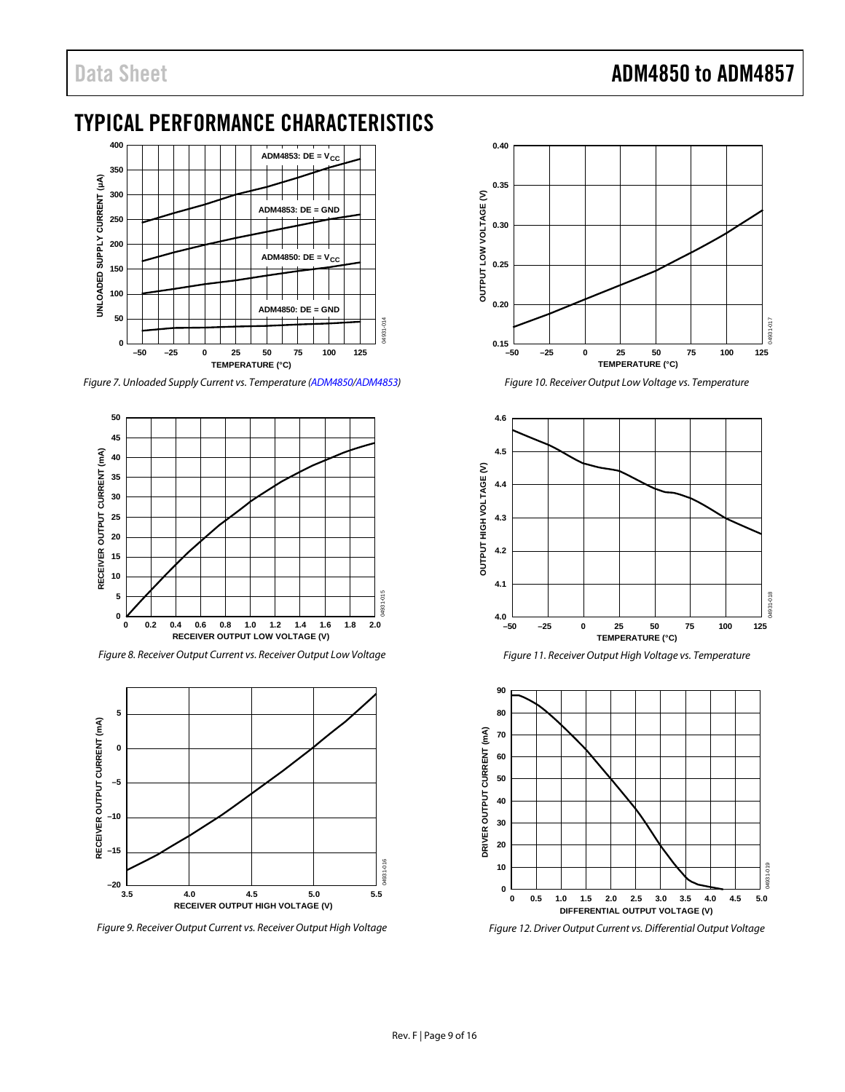# <span id="page-8-0"></span>TYPICAL PERFORMANCE CHARACTERISTICS



*Figure 7. Unloaded Supply Current vs. Temperature [\(ADM4850/](http://www.analog.com/ADM4850?doc=ADM4850_4851_4852_4853_4854_4855_4856_4857.pdf)[ADM4853\)](http://www.analog.com/ADM4853?doc=ADM4850_4851_4852_4853_4854_4855_4856_4857.pdf)* 



*Figure 8. Receiver Output Current vs. Receiver Output Low Voltage*



*Figure 9. Receiver Output Current vs. Receiver Output High Voltage*



*Figure 10. Receiver Output Low Voltage vs. Temperature*







*Figure 12. Driver Output Current vs. Differential Output Voltage*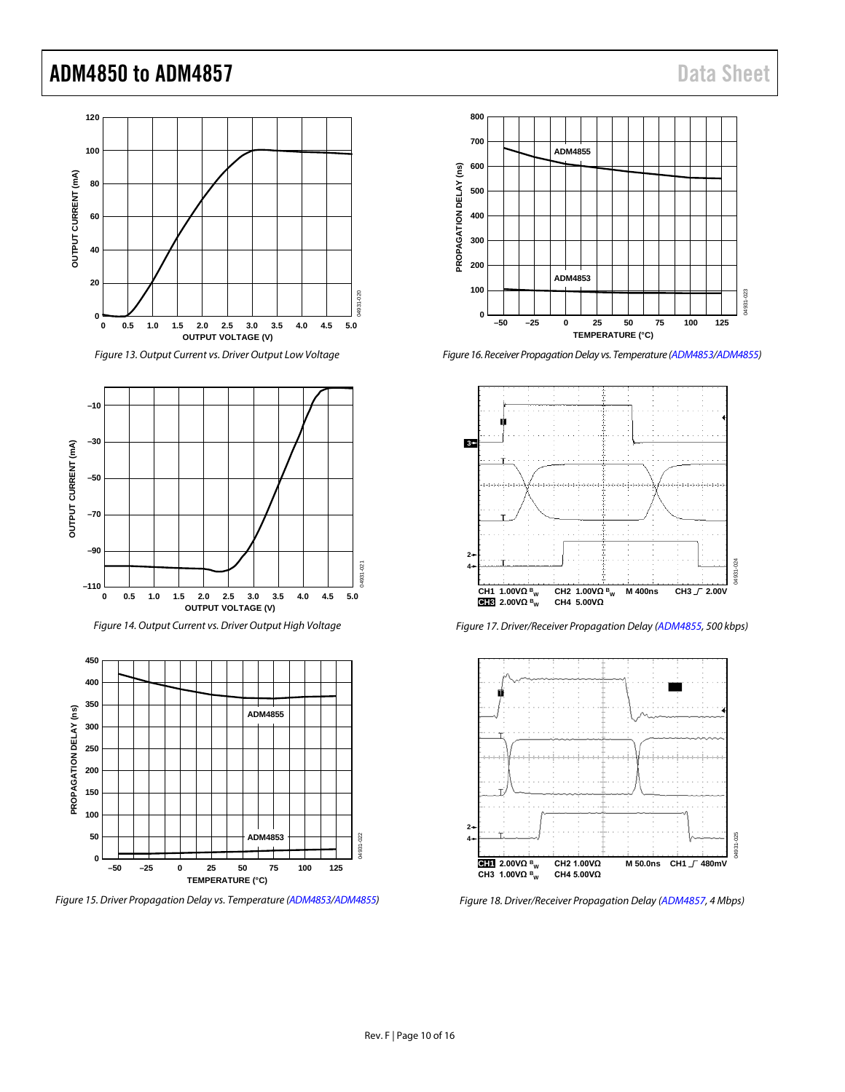# ADM4850 to ADM4857 Data Sheet





*Figure 14. Output Current vs. Driver Output High Voltage*



*Figure 15. Driver Propagation Delay vs. Temperature [\(ADM4853](http://www.analog.com/ADM4853?doc=ADM4850_4851_4852_4853_4854_4855_4856_4857.pdf)[/ADM4855\)](http://www.analog.com/ADM4855?doc=ADM4850_4851_4852_4853_4854_4855_4856_4857.pdf)* 



*Figure 16. Receiver Propagation Delay vs. Temperature [\(ADM4853](http://www.analog.com/ADM4853?doc=ADM4850_4851_4852_4853_4854_4855_4856_4857.pdf)[/ADM4855\)](http://www.analog.com/ADM4855?doc=ADM4850_4851_4852_4853_4854_4855_4856_4857.pdf)* 



*Figure 17. Driver/Receiver Propagation Delay [\(ADM4855,](http://www.analog.com/ADM4855?doc=ADM4850_4851_4852_4853_4854_4855_4856_4857.pdf) 500 kbps)*



*Figure 18. Driver/Receiver Propagation Delay [\(ADM4857,](http://www.analog.com/ADM4857?doc=ADM4850_4851_4852_4853_4854_4855_4856_4857.pdf) 4 Mbps)*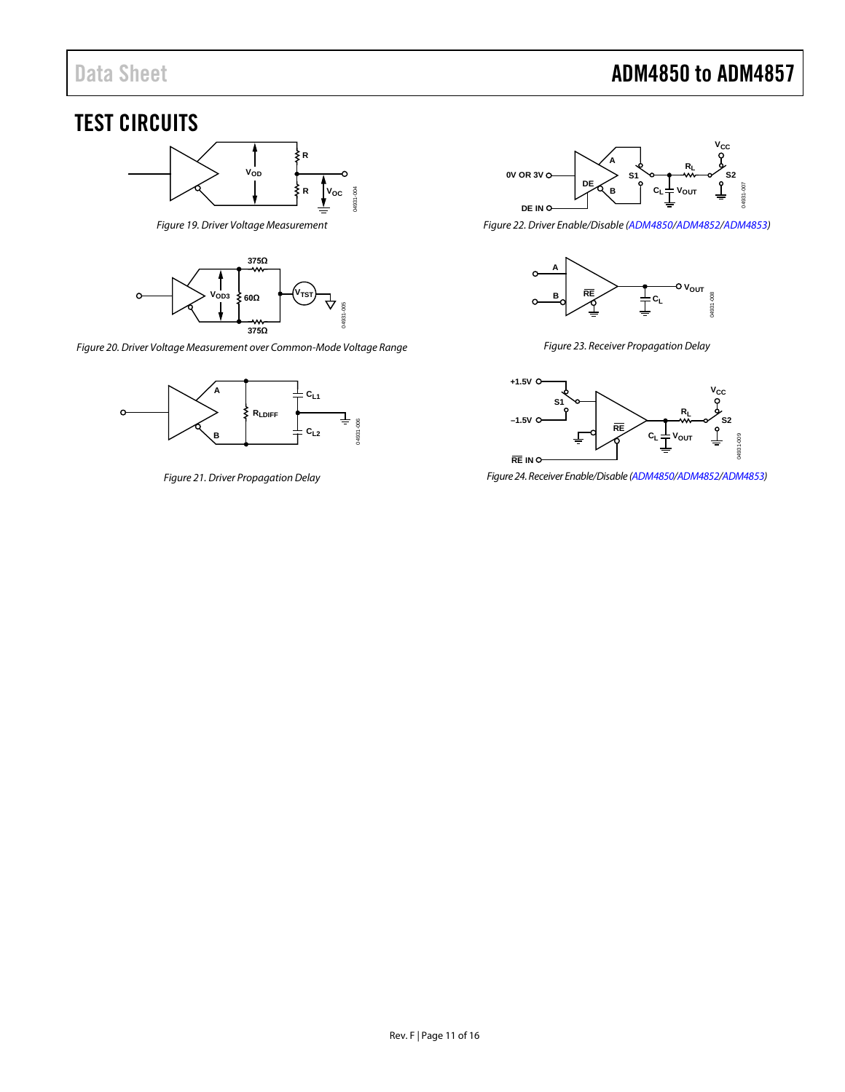# Data Sheet **ADM4850 to ADM4857**

# <span id="page-10-0"></span>TEST CIRCUITS



*Figure 19. Driver Voltage Measurement*

<span id="page-10-1"></span>

<span id="page-10-2"></span>*Figure 20. Driver Voltage Measurement over Common-Mode Voltage Range*



<span id="page-10-3"></span>*Figure 21. Driver Propagation Delay* 



<span id="page-10-4"></span>*Figure 22. Driver Enable/Disable [\(ADM4850/](http://www.analog.com/ADM4850?doc=ADM4850_4851_4852_4853_4854_4855_4856_4857.pdf)[ADM4852](http://www.analog.com/ADM4852?doc=ADM4850_4851_4852_4853_4854_4855_4856_4857.pdf)[/ADM4853\)](http://www.analog.com/ADM4853?doc=ADM4850_4851_4852_4853_4854_4855_4856_4857.pdf)* 



*Figure 23. Receiver Propagation Delay* 

<span id="page-10-5"></span>

<span id="page-10-6"></span>*Figure 24. Receiver Enable/Disable [\(ADM4850/](http://www.analog.com/ADM4850?doc=ADM4850_4851_4852_4853_4854_4855_4856_4857.pdf)[ADM4852/](http://www.analog.com/ADM4852?doc=ADM4850_4851_4852_4853_4854_4855_4856_4857.pdf)[ADM4853\)](http://www.analog.com/ADM4853?doc=ADM4850_4851_4852_4853_4854_4855_4856_4857.pdf)*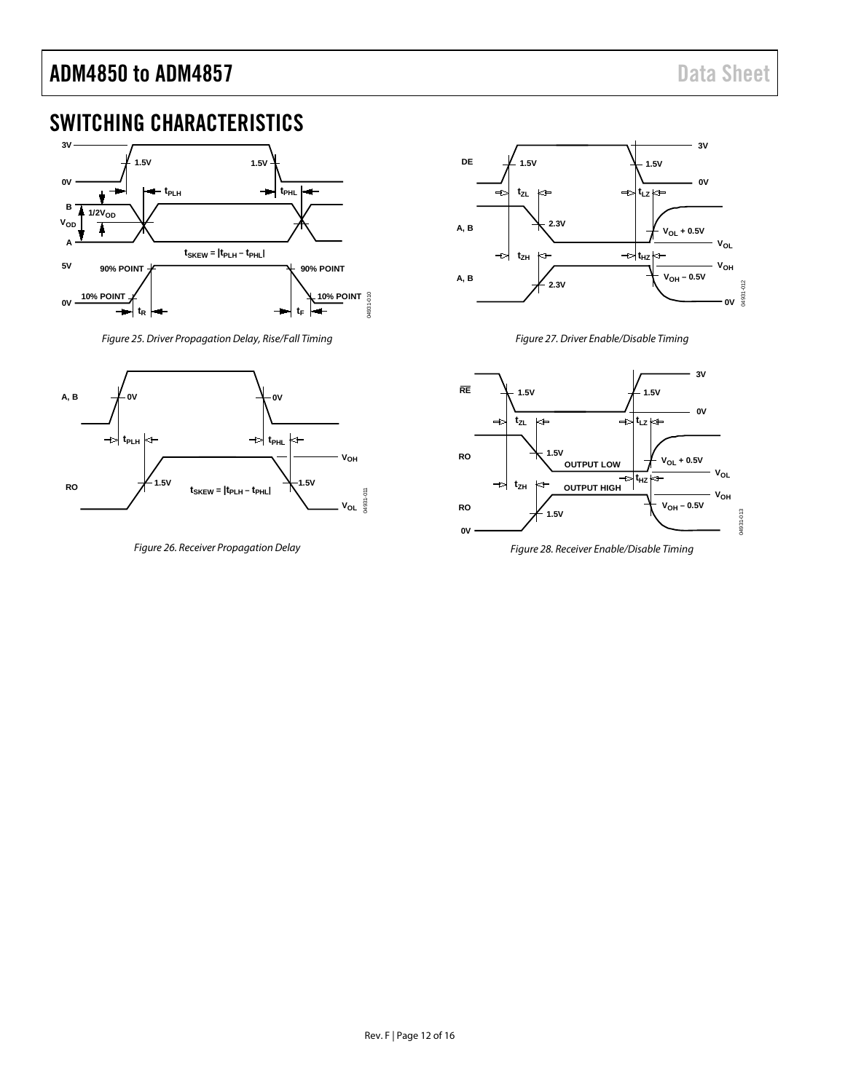# <span id="page-11-0"></span>SWITCHING CHARACTERISTICS



*Figure 25. Driver Propagation Delay, Rise/Fall Timing*

<span id="page-11-1"></span>

<span id="page-11-3"></span>*Figure 26. Receiver Propagation Delay*



*Figure 27. Driver Enable/Disable Timing*

<span id="page-11-2"></span>

<span id="page-11-4"></span>*Figure 28. Receiver Enable/Disable Timing*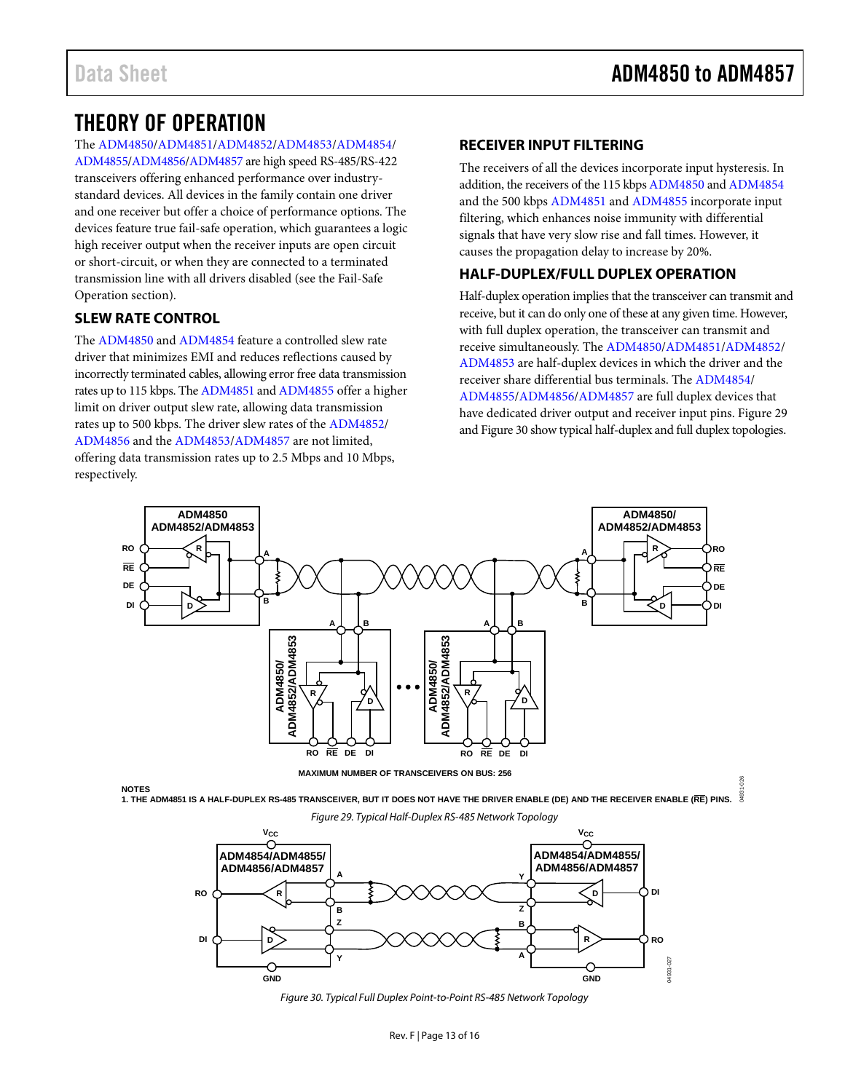04931-026

# <span id="page-12-0"></span>THEORY OF OPERATION

The [ADM4850](http://www.analog.com/ADM4850?doc=ADM4850_4851_4852_4853_4854_4855_4856_4857.pdf)[/ADM4851](http://www.analog.com/ADM4851?doc=ADM4850_4851_4852_4853_4854_4855_4856_4857.pdf)[/ADM4852/](http://www.analog.com/ADM4852?doc=ADM4850_4851_4852_4853_4854_4855_4856_4857.pdf)[ADM4853/](http://www.analog.com/ADM4853?doc=ADM4850_4851_4852_4853_4854_4855_4856_4857.pdf)[ADM4854/](http://www.analog.com/ADM4854?doc=ADM4850_4851_4852_4853_4854_4855_4856_4857.pdf)

[ADM4855](http://www.analog.com/ADM4855?doc=ADM4850_4851_4852_4853_4854_4855_4856_4857.pdf)[/ADM4856/](http://www.analog.com/ADM4856?doc=ADM4850_4851_4852_4853_4854_4855_4856_4857.pdf)[ADM4857](http://www.analog.com/ADM4857?doc=ADM4850_4851_4852_4853_4854_4855_4856_4857.pdf) are high speed RS-485/RS-422 transceivers offering enhanced performance over industrystandard devices. All devices in the family contain one driver and one receiver but offer a choice of performance options. The devices feature true fail-safe operation, which guarantees a logic high receiver output when the receiver inputs are open circuit or short-circuit, or when they are connected to a terminated transmission line with all drivers disabled (see the [Fail-Safe](#page-13-3)  [Operation](#page-13-3) section).

# <span id="page-12-1"></span>**SLEW RATE CONTROL**

The [ADM4850](http://www.analog.com/ADM4850?doc=ADM4850_4851_4852_4853_4854_4855_4856_4857.pdf) and [ADM4854](http://www.analog.com/ADM4854?doc=ADM4850_4851_4852_4853_4854_4855_4856_4857.pdf) feature a controlled slew rate driver that minimizes EMI and reduces reflections caused by incorrectly terminated cables, allowing error free data transmission rates up to 115 kbps. The [ADM4851](http://www.analog.com/ADM4851?doc=ADM4850_4851_4852_4853_4854_4855_4856_4857.pdf) an[d ADM4855](http://www.analog.com/ADM4855?doc=ADM4850_4851_4852_4853_4854_4855_4856_4857.pdf) offer a higher limit on driver output slew rate, allowing data transmission rates up to 500 kbps. The driver slew rates of th[e ADM4852/](http://www.analog.com/ADM4852?doc=ADM4850_4851_4852_4853_4854_4855_4856_4857.pdf) [ADM4856](http://www.analog.com/ADM4856?doc=ADM4850_4851_4852_4853_4854_4855_4856_4857.pdf) and the [ADM4853/](http://www.analog.com/ADM4853?doc=ADM4850_4851_4852_4853_4854_4855_4856_4857.pdf)[ADM4857](http://www.analog.com/ADM4857?doc=ADM4850_4851_4852_4853_4854_4855_4856_4857.pdf) are not limited, offering data transmission rates up to 2.5 Mbps and 10 Mbps, respectively.

# <span id="page-12-2"></span>**RECEIVER INPUT FILTERING**

The receivers of all the devices incorporate input hysteresis. In addition, the receivers of the 115 kbp[s ADM4850](http://www.analog.com/ADM4850?doc=ADM4850_4851_4852_4853_4854_4855_4856_4857.pdf) an[d ADM4854](http://www.analog.com/ADM4854?doc=ADM4850_4851_4852_4853_4854_4855_4856_4857.pdf) and the 500 kbp[s ADM4851](http://www.analog.com/ADM4851?doc=ADM4850_4851_4852_4853_4854_4855_4856_4857.pdf) and [ADM4855](http://www.analog.com/ADM4855?doc=ADM4850_4851_4852_4853_4854_4855_4856_4857.pdf) incorporate input filtering, which enhances noise immunity with differential signals that have very slow rise and fall times. However, it causes the propagation delay to increase by 20%.

# <span id="page-12-3"></span>**HALF-DUPLEX/FULL DUPLEX OPERATION**

Half-duplex operation implies that the transceiver can transmit and receive, but it can do only one of these at any given time. However, with full duplex operation, the transceiver can transmit and receive simultaneously. Th[e ADM4850](http://www.analog.com/ADM4850?doc=ADM4850_4851_4852_4853_4854_4855_4856_4857.pdf)[/ADM4851/](http://www.analog.com/ADM4851?doc=ADM4850_4851_4852_4853_4854_4855_4856_4857.pdf)[ADM4852/](http://www.analog.com/ADM4852?doc=ADM4850_4851_4852_4853_4854_4855_4856_4857.pdf) [ADM4853](http://www.analog.com/ADM4853?doc=ADM4850_4851_4852_4853_4854_4855_4856_4857.pdf) are half-duplex devices in which the driver and the receiver share differential bus terminals. The [ADM4854/](http://www.analog.com/ADM4854?doc=ADM4850_4851_4852_4853_4854_4855_4856_4857.pdf) [ADM4855](http://www.analog.com/ADM4855?doc=ADM4850_4851_4852_4853_4854_4855_4856_4857.pdf)[/ADM4856/](http://www.analog.com/ADM4856?doc=ADM4850_4851_4852_4853_4854_4855_4856_4857.pdf)[ADM4857](http://www.analog.com/ADM4857?doc=ADM4850_4851_4852_4853_4854_4855_4856_4857.pdf) are full duplex devices that have dedicated driver output and receiver input pins. [Figure 29](#page-12-4) an[d Figure 30](#page-12-5) show typical half-duplex and full duplex topologies.



<span id="page-12-4"></span>

**NOTES 1. THE ADM4851 IS A HALF-DUPLEX RS-485 TRANSCEIVER, BUT IT DOES NOT HAVE THE DRIVER ENABLE (DE) AND THE RECEIVER ENABLE (RE) PINS.**

*Figure 29. Typical Half-Duplex RS-485 Network Topology* 

<span id="page-12-5"></span>

*Figure 30. Typical Full Duplex Point-to-Point RS-485 Network Topology*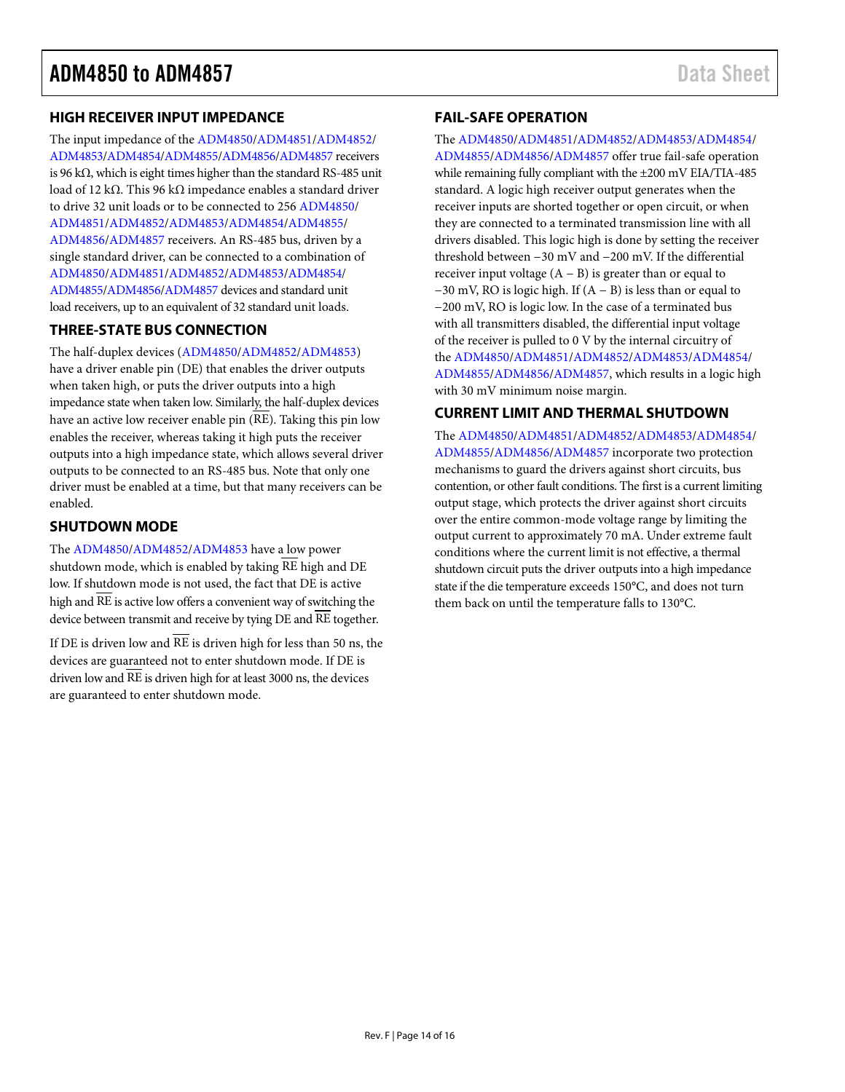### <span id="page-13-0"></span>**HIGH RECEIVER INPUT IMPEDANCE**

The input impedance of the [ADM4850/](http://www.analog.com/ADM4850?doc=ADM4850_4851_4852_4853_4854_4855_4856_4857.pdf)[ADM4851](http://www.analog.com/ADM4851?doc=ADM4850_4851_4852_4853_4854_4855_4856_4857.pdf)[/ADM4852/](http://www.analog.com/ADM4852?doc=ADM4850_4851_4852_4853_4854_4855_4856_4857.pdf) [ADM4853](http://www.analog.com/ADM4853?doc=ADM4850_4851_4852_4853_4854_4855_4856_4857.pdf)[/ADM4854/](http://www.analog.com/ADM4854?doc=ADM4850_4851_4852_4853_4854_4855_4856_4857.pdf)[ADM4855](http://www.analog.com/ADM4855?doc=ADM4850_4851_4852_4853_4854_4855_4856_4857.pdf)[/ADM4856](http://www.analog.com/ADM4856?doc=ADM4850_4851_4852_4853_4854_4855_4856_4857.pdf)[/ADM4857](http://www.analog.com/ADM4857?doc=ADM4850_4851_4852_4853_4854_4855_4856_4857.pdf) receivers is 96 kΩ, which is eight times higher than the standard RS-485 unit load of 12 kΩ. This 96 kΩ impedance enables a standard driver to drive 32 unit loads or to be connected to 256 [ADM4850/](http://www.analog.com/ADM4850?doc=ADM4850_4851_4852_4853_4854_4855_4856_4857.pdf) [ADM4851](http://www.analog.com/ADM4851?doc=ADM4850_4851_4852_4853_4854_4855_4856_4857.pdf)[/ADM4852/](http://www.analog.com/ADM4852?doc=ADM4850_4851_4852_4853_4854_4855_4856_4857.pdf)[ADM4853/](http://www.analog.com/ADM4853?doc=ADM4850_4851_4852_4853_4854_4855_4856_4857.pdf)[ADM4854/](http://www.analog.com/ADM4854?doc=ADM4850_4851_4852_4853_4854_4855_4856_4857.pdf)[ADM4855/](http://www.analog.com/ADM4855?doc=ADM4850_4851_4852_4853_4854_4855_4856_4857.pdf) [ADM4856](http://www.analog.com/ADM4856?doc=ADM4850_4851_4852_4853_4854_4855_4856_4857.pdf)[/ADM4857](http://www.analog.com/ADM4857?doc=ADM4850_4851_4852_4853_4854_4855_4856_4857.pdf) receivers. An RS-485 bus, driven by a single standard driver, can be connected to a combination of [ADM4850](http://www.analog.com/ADM4850?doc=ADM4850_4851_4852_4853_4854_4855_4856_4857.pdf)[/ADM4851/](http://www.analog.com/ADM4851?doc=ADM4850_4851_4852_4853_4854_4855_4856_4857.pdf)[ADM4852/](http://www.analog.com/ADM4852?doc=ADM4850_4851_4852_4853_4854_4855_4856_4857.pdf)[ADM4853/](http://www.analog.com/ADM4853?doc=ADM4850_4851_4852_4853_4854_4855_4856_4857.pdf)[ADM4854/](http://www.analog.com/ADM4854?doc=ADM4850_4851_4852_4853_4854_4855_4856_4857.pdf) [ADM4855](http://www.analog.com/ADM4855?doc=ADM4850_4851_4852_4853_4854_4855_4856_4857.pdf)[/ADM4856/](http://www.analog.com/ADM4856?doc=ADM4850_4851_4852_4853_4854_4855_4856_4857.pdf)[ADM4857](http://www.analog.com/ADM4857?doc=ADM4850_4851_4852_4853_4854_4855_4856_4857.pdf) devices and standard unit load receivers, up to an equivalent of 32 standard unit loads.

# <span id="page-13-1"></span>**THREE-STATE BUS CONNECTION**

The half-duplex devices [\(ADM4850](http://www.analog.com/ADM4850?doc=ADM4850_4851_4852_4853_4854_4855_4856_4857.pdf)[/ADM4852](http://www.analog.com/ADM4852?doc=ADM4850_4851_4852_4853_4854_4855_4856_4857.pdf)[/ADM4853\)](http://www.analog.com/ADM4853?doc=ADM4850_4851_4852_4853_4854_4855_4856_4857.pdf) have a driver enable pin (DE) that enables the driver outputs when taken high, or puts the driver outputs into a high impedance state when taken low. Similarly, the half-duplex devices have an active low receiver enable pin (RE). Taking this pin low enables the receiver, whereas taking it high puts the receiver outputs into a high impedance state, which allows several driver outputs to be connected to an RS-485 bus. Note that only one driver must be enabled at a time, but that many receivers can be enabled.

### <span id="page-13-2"></span>**SHUTDOWN MODE**

The [ADM4850](http://www.analog.com/ADM4850?doc=ADM4850_4851_4852_4853_4854_4855_4856_4857.pdf)[/ADM4852](http://www.analog.com/ADM4852?doc=ADM4850_4851_4852_4853_4854_4855_4856_4857.pdf)[/ADM4853](http://www.analog.com/ADM4853?doc=ADM4850_4851_4852_4853_4854_4855_4856_4857.pdf) have a low power shutdown mode, which is enabled by taking  $\overline{\text{RE}}$  high and  $\overline{\text{DE}}$ low. If shutdown mode is not used, the fact that DE is active high and RE is active low offers a convenient way of switching the device between transmit and receive by tying DE and RE together.

If DE is driven low and  $\overline{\text{RE}}$  is driven high for less than 50 ns, the devices are guaranteed not to enter shutdown mode. If DE is driven low and RE is driven high for at least 3000 ns, the devices are guaranteed to enter shutdown mode.

# <span id="page-13-3"></span>**FAIL-SAFE OPERATION**

#### The [ADM4850](http://www.analog.com/ADM4850?doc=ADM4850_4851_4852_4853_4854_4855_4856_4857.pdf)[/ADM4851](http://www.analog.com/ADM4851?doc=ADM4850_4851_4852_4853_4854_4855_4856_4857.pdf)[/ADM4852/](http://www.analog.com/ADM4852?doc=ADM4850_4851_4852_4853_4854_4855_4856_4857.pdf)[ADM4853/](http://www.analog.com/ADM4853?doc=ADM4850_4851_4852_4853_4854_4855_4856_4857.pdf)[ADM4854/](http://www.analog.com/ADM4854?doc=ADM4850_4851_4852_4853_4854_4855_4856_4857.pdf)

[ADM4855](http://www.analog.com/ADM4855?doc=ADM4850_4851_4852_4853_4854_4855_4856_4857.pdf)[/ADM4856/](http://www.analog.com/ADM4856?doc=ADM4850_4851_4852_4853_4854_4855_4856_4857.pdf)[ADM4857](http://www.analog.com/ADM4857?doc=ADM4850_4851_4852_4853_4854_4855_4856_4857.pdf) offer true fail-safe operation while remaining fully compliant with the ±200 mV EIA/TIA-485 standard. A logic high receiver output generates when the receiver inputs are shorted together or open circuit, or when they are connected to a terminated transmission line with all drivers disabled. This logic high is done by setting the receiver threshold between −30 mV and −200 mV. If the differential receiver input voltage  $(A - B)$  is greater than or equal to −30 mV, RO is logic high. If (A − B) is less than or equal to −200 mV, RO is logic low. In the case of a terminated bus with all transmitters disabled, the differential input voltage of the receiver is pulled to 0 V by the internal circuitry of the [ADM4850/](http://www.analog.com/ADM4850?doc=ADM4850_4851_4852_4853_4854_4855_4856_4857.pdf)[ADM4851/](http://www.analog.com/ADM4851?doc=ADM4850_4851_4852_4853_4854_4855_4856_4857.pdf)[ADM4852/](http://www.analog.com/ADM4852?doc=ADM4850_4851_4852_4853_4854_4855_4856_4857.pdf)[ADM4853](http://www.analog.com/ADM4853?doc=ADM4850_4851_4852_4853_4854_4855_4856_4857.pdf)[/ADM4854/](http://www.analog.com/ADM4854?doc=ADM4850_4851_4852_4853_4854_4855_4856_4857.pdf) [ADM4855](http://www.analog.com/ADM4855?doc=ADM4850_4851_4852_4853_4854_4855_4856_4857.pdf)[/ADM4856/](http://www.analog.com/ADM4856?doc=ADM4850_4851_4852_4853_4854_4855_4856_4857.pdf)[ADM4857,](http://www.analog.com/ADM4857?doc=ADM4850_4851_4852_4853_4854_4855_4856_4857.pdf) which results in a logic high with 30 mV minimum noise margin.

# <span id="page-13-4"></span>**CURRENT LIMIT AND THERMAL SHUTDOWN**

The [ADM4850](http://www.analog.com/ADM4850?doc=ADM4850_4851_4852_4853_4854_4855_4856_4857.pdf)[/ADM4851](http://www.analog.com/ADM4851?doc=ADM4850_4851_4852_4853_4854_4855_4856_4857.pdf)[/ADM4852/](http://www.analog.com/ADM4852?doc=ADM4850_4851_4852_4853_4854_4855_4856_4857.pdf)[ADM4853/](http://www.analog.com/ADM4853?doc=ADM4850_4851_4852_4853_4854_4855_4856_4857.pdf)[ADM4854/](http://www.analog.com/ADM4854?doc=ADM4850_4851_4852_4853_4854_4855_4856_4857.pdf) [ADM4855](http://www.analog.com/ADM4855?doc=ADM4850_4851_4852_4853_4854_4855_4856_4857.pdf)[/ADM4856/](http://www.analog.com/ADM4856?doc=ADM4850_4851_4852_4853_4854_4855_4856_4857.pdf)[ADM4857](http://www.analog.com/ADM4857?doc=ADM4850_4851_4852_4853_4854_4855_4856_4857.pdf) incorporate two protection mechanisms to guard the drivers against short circuits, bus contention, or other fault conditions. The first is a current limiting output stage, which protects the driver against short circuits over the entire common-mode voltage range by limiting the output current to approximately 70 mA. Under extreme fault conditions where the current limit is not effective, a thermal shutdown circuit puts the driver outputs into a high impedance state if the die temperature exceeds 150°C, and does not turn them back on until the temperature falls to 130°C.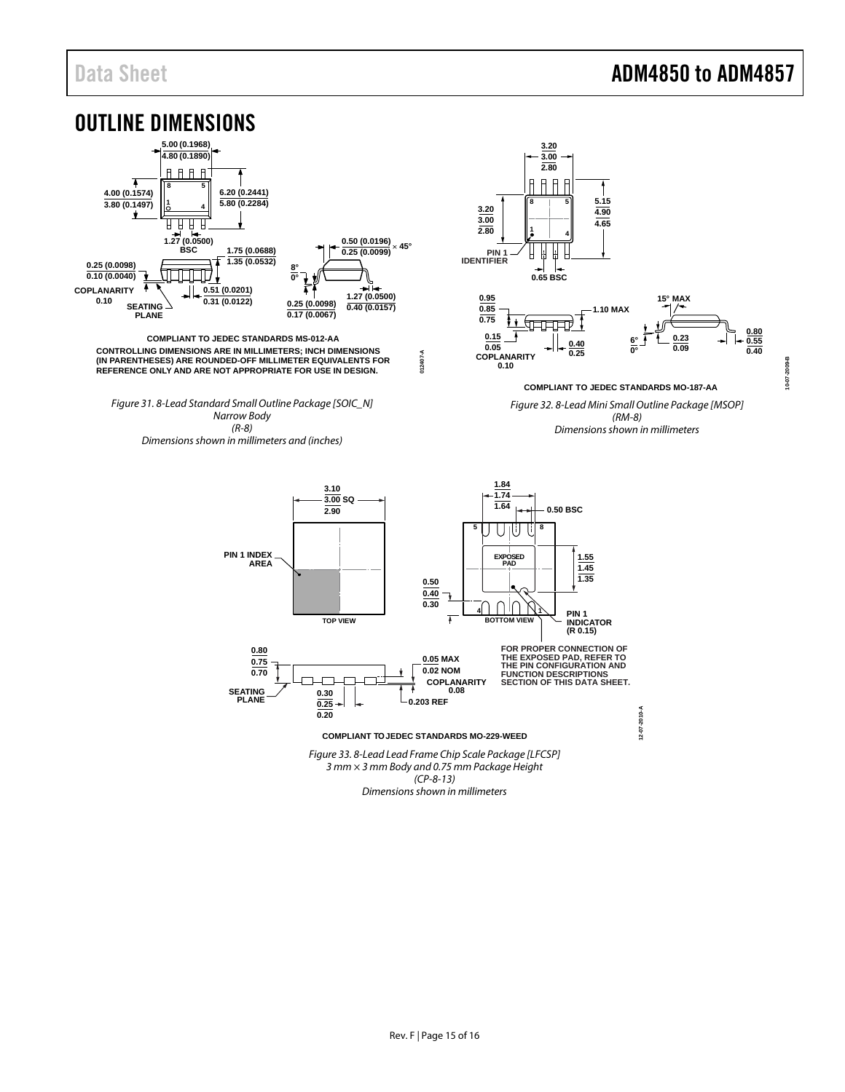<span id="page-14-0"></span>